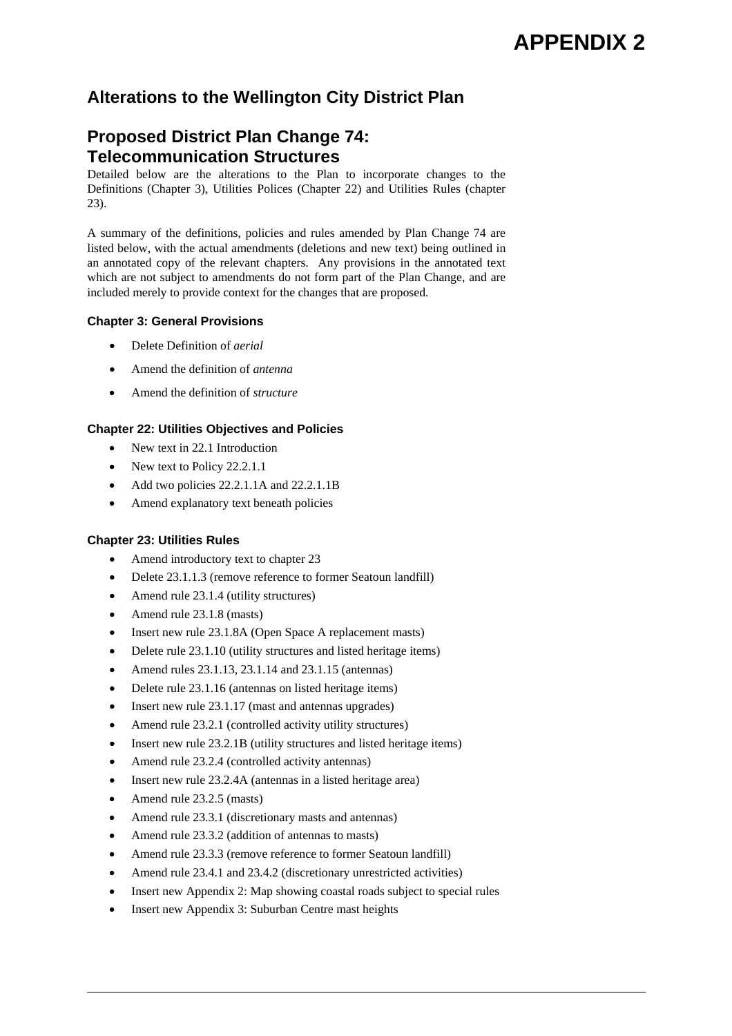# **Alterations to the Wellington City District Plan**

# **Proposed District Plan Change 74: Telecommunication Structures**

Detailed below are the alterations to the Plan to incorporate changes to the Definitions (Chapter 3), Utilities Polices (Chapter 22) and Utilities Rules (chapter 23).

A summary of the definitions, policies and rules amended by Plan Change 74 are listed below, with the actual amendments (deletions and new text) being outlined in an annotated copy of the relevant chapters. Any provisions in the annotated text which are not subject to amendments do not form part of the Plan Change, and are included merely to provide context for the changes that are proposed.

# **Chapter 3: General Provisions**

- Delete Definition of *aerial*
- Amend the definition of *antenna*
- Amend the definition of *structure*

# **Chapter 22: Utilities Objectives and Policies**

- New text in 22.1 Introduction
- New text to Policy 22.2.1.1
- Add two policies 22.2.1.1A and 22.2.1.1B
- Amend explanatory text beneath policies

# **Chapter 23: Utilities Rules**

- Amend introductory text to chapter 23
- Delete 23.1.1.3 (remove reference to former Seatoun landfill)
- Amend rule 23.1.4 (utility structures)
- Amend rule 23.1.8 (masts)
- Insert new rule 23.1.8A (Open Space A replacement masts)
- Delete rule 23.1.10 (utility structures and listed heritage items)
- Amend rules 23.1.13, 23.1.14 and 23.1.15 (antennas)
- Delete rule 23.1.16 (antennas on listed heritage items)
- Insert new rule 23.1.17 (mast and antennas upgrades)
- Amend rule 23.2.1 (controlled activity utility structures)
- Insert new rule 23.2.1B (utility structures and listed heritage items)
- Amend rule 23.2.4 (controlled activity antennas)
- Insert new rule 23.2.4A (antennas in a listed heritage area)
- Amend rule 23.2.5 (masts)
- Amend rule 23.3.1 (discretionary masts and antennas)
- Amend rule 23.3.2 (addition of antennas to masts)
- Amend rule 23.3.3 (remove reference to former Seatoun landfill)
- Amend rule 23.4.1 and 23.4.2 (discretionary unrestricted activities)
- Insert new Appendix 2: Map showing coastal roads subject to special rules
- Insert new Appendix 3: Suburban Centre mast heights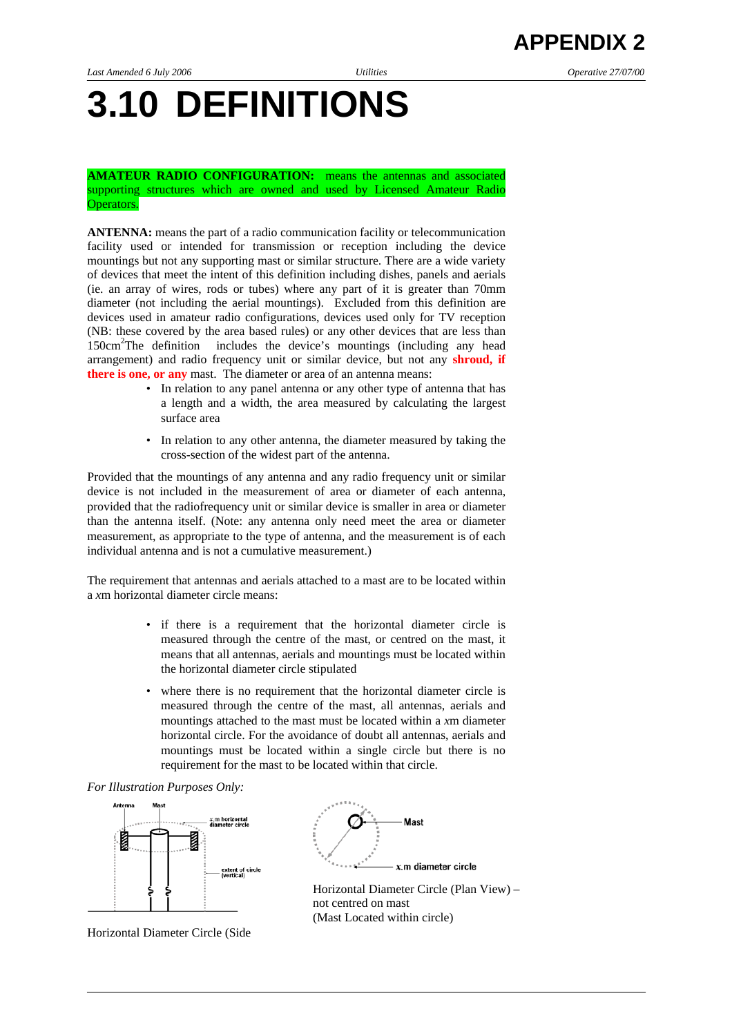# **3.10 DEFINITIONS**

**AMATEUR RADIO CONFIGURATION:** means the antennas and associated supporting structures which are owned and used by Licensed Amateur Radio Operators.

**ANTENNA:** means the part of a radio communication facility or telecommunication facility used or intended for transmission or reception including the device mountings but not any supporting mast or similar structure. There are a wide variety of devices that meet the intent of this definition including dishes, panels and aerials (ie. an array of wires, rods or tubes) where any part of it is greater than 70mm diameter (not including the aerial mountings). Excluded from this definition are devices used in amateur radio configurations, devices used only for TV reception (NB: these covered by the area based rules) or any other devices that are less than 150cm2 The definition includes the device's mountings (including any head arrangement) and radio frequency unit or similar device, but not any **shroud, if there is one, or any** mast. The diameter or area of an antenna means:

- In relation to any panel antenna or any other type of antenna that has a length and a width, the area measured by calculating the largest surface area
- In relation to any other antenna, the diameter measured by taking the cross-section of the widest part of the antenna.

Provided that the mountings of any antenna and any radio frequency unit or similar device is not included in the measurement of area or diameter of each antenna, provided that the radiofrequency unit or similar device is smaller in area or diameter than the antenna itself. (Note: any antenna only need meet the area or diameter measurement, as appropriate to the type of antenna, and the measurement is of each individual antenna and is not a cumulative measurement.)

The requirement that antennas and aerials attached to a mast are to be located within a *x*m horizontal diameter circle means:

- if there is a requirement that the horizontal diameter circle is measured through the centre of the mast, or centred on the mast, it means that all antennas, aerials and mountings must be located within the horizontal diameter circle stipulated
- where there is no requirement that the horizontal diameter circle is measured through the centre of the mast, all antennas, aerials and mountings attached to the mast must be located within a *x*m diameter horizontal circle. For the avoidance of doubt all antennas, aerials and mountings must be located within a single circle but there is no requirement for the mast to be located within that circle.





Horizontal Diameter Circle (Side

(Mast Located within circle)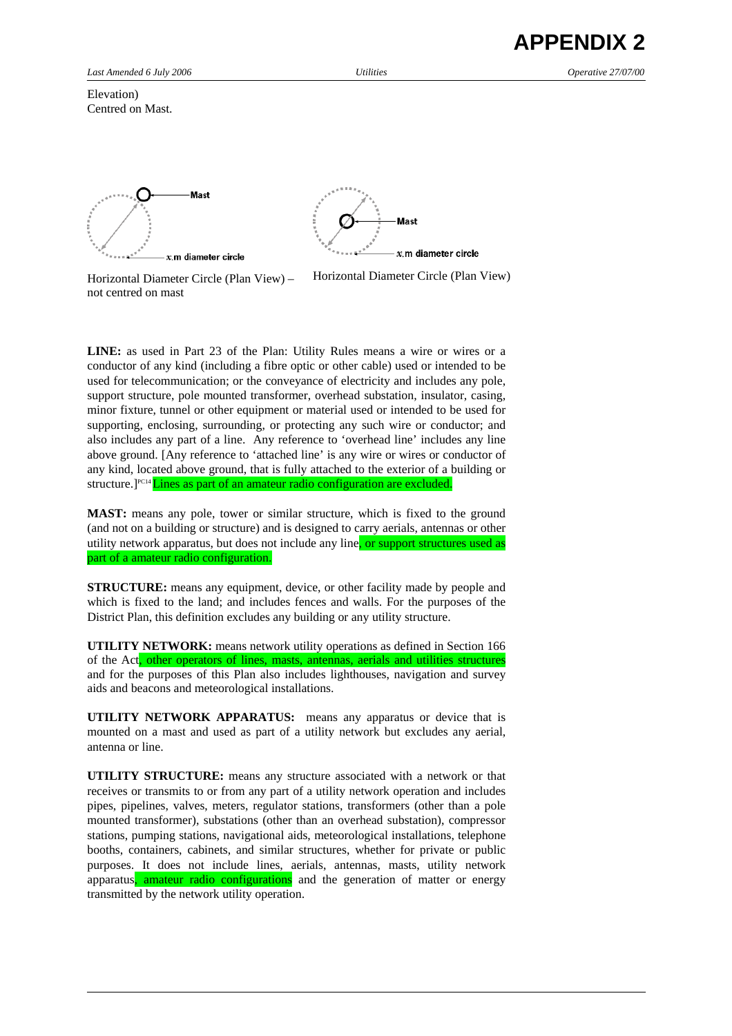Elevation) Centred on Mast.





Horizontal Diameter Circle (Plan View) – not centred on mast

Horizontal Diameter Circle (Plan View)

**LINE:** as used in Part 23 of the Plan: Utility Rules means a wire or wires or a conductor of any kind (including a fibre optic or other cable) used or intended to be used for telecommunication; or the conveyance of electricity and includes any pole, support structure, pole mounted transformer, overhead substation, insulator, casing, minor fixture, tunnel or other equipment or material used or intended to be used for supporting, enclosing, surrounding, or protecting any such wire or conductor; and also includes any part of a line. Any reference to 'overhead line' includes any line above ground. [Any reference to 'attached line' is any wire or wires or conductor of any kind, located above ground, that is fully attached to the exterior of a building or structure.<sup>[PC14</sup>Lines as part of an amateur radio configuration are excluded.

**MAST:** means any pole, tower or similar structure, which is fixed to the ground (and not on a building or structure) and is designed to carry aerials, antennas or other utility network apparatus, but does not include any line, or support structures used as part of a amateur radio configuration.

**STRUCTURE:** means any equipment, device, or other facility made by people and which is fixed to the land; and includes fences and walls. For the purposes of the District Plan, this definition excludes any building or any utility structure.

**UTILITY NETWORK:** means network utility operations as defined in Section 166 of the Act, other operators of lines, masts, antennas, aerials and utilities structures and for the purposes of this Plan also includes lighthouses, navigation and survey aids and beacons and meteorological installations.

**UTILITY NETWORK APPARATUS:** means any apparatus or device that is mounted on a mast and used as part of a utility network but excludes any aerial, antenna or line.

**UTILITY STRUCTURE:** means any structure associated with a network or that receives or transmits to or from any part of a utility network operation and includes pipes, pipelines, valves, meters, regulator stations, transformers (other than a pole mounted transformer), substations (other than an overhead substation), compressor stations, pumping stations, navigational aids, meteorological installations, telephone booths, containers, cabinets, and similar structures, whether for private or public purposes. It does not include lines, aerials, antennas, masts, utility network apparatus, amateur radio configurations and the generation of matter or energy transmitted by the network utility operation.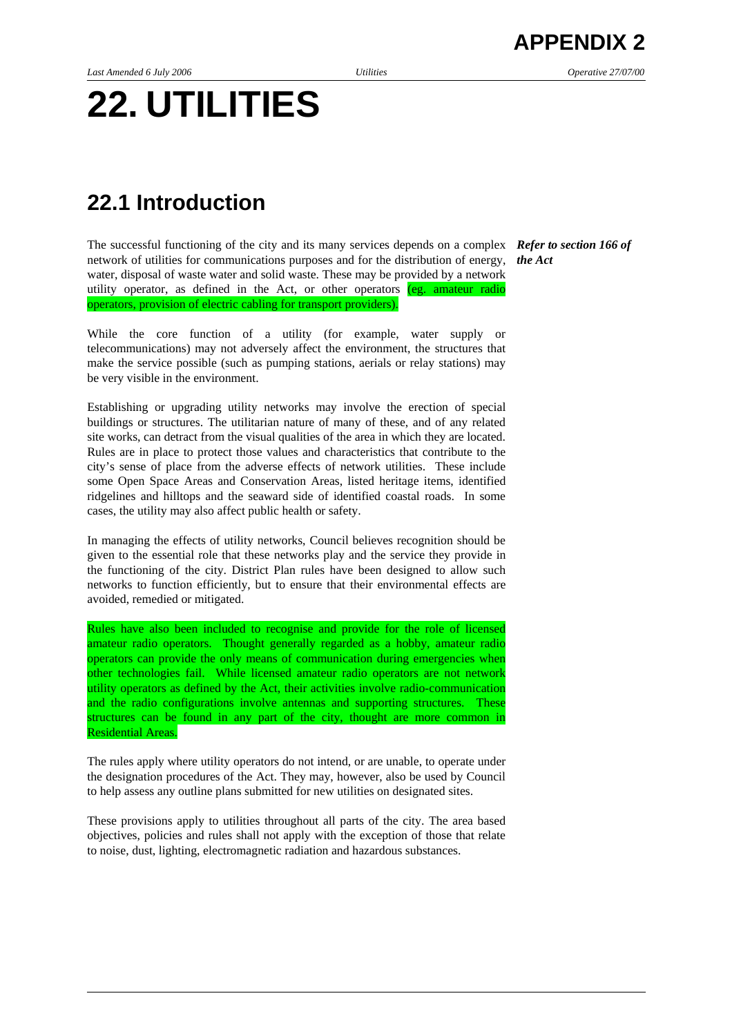# **22. UTILITIES**

# **22.1 Introduction**

The successful functioning of the city and its many services depends on a complex *Refer to section 166 of* network of utilities for communications purposes and for the distribution of energy, *the Act*  water, disposal of waste water and solid waste. These may be provided by a network utility operator, as defined in the Act, or other operators (eg. amateur radio operators, provision of electric cabling for transport providers).

While the core function of a utility (for example, water supply or telecommunications) may not adversely affect the environment, the structures that make the service possible (such as pumping stations, aerials or relay stations) may be very visible in the environment.

Establishing or upgrading utility networks may involve the erection of special buildings or structures. The utilitarian nature of many of these, and of any related site works, can detract from the visual qualities of the area in which they are located. Rules are in place to protect those values and characteristics that contribute to the city's sense of place from the adverse effects of network utilities. These include some Open Space Areas and Conservation Areas, listed heritage items, identified ridgelines and hilltops and the seaward side of identified coastal roads. In some cases, the utility may also affect public health or safety.

In managing the effects of utility networks, Council believes recognition should be given to the essential role that these networks play and the service they provide in the functioning of the city. District Plan rules have been designed to allow such networks to function efficiently, but to ensure that their environmental effects are avoided, remedied or mitigated.

Rules have also been included to recognise and provide for the role of licensed amateur radio operators. Thought generally regarded as a hobby, amateur radio operators can provide the only means of communication during emergencies when other technologies fail. While licensed amateur radio operators are not network utility operators as defined by the Act, their activities involve radio-communication and the radio configurations involve antennas and supporting structures. These structures can be found in any part of the city, thought are more common in Residential Areas.

The rules apply where utility operators do not intend, or are unable, to operate under the designation procedures of the Act. They may, however, also be used by Council to help assess any outline plans submitted for new utilities on designated sites.

These provisions apply to utilities throughout all parts of the city. The area based objectives, policies and rules shall not apply with the exception of those that relate to noise, dust, lighting, electromagnetic radiation and hazardous substances.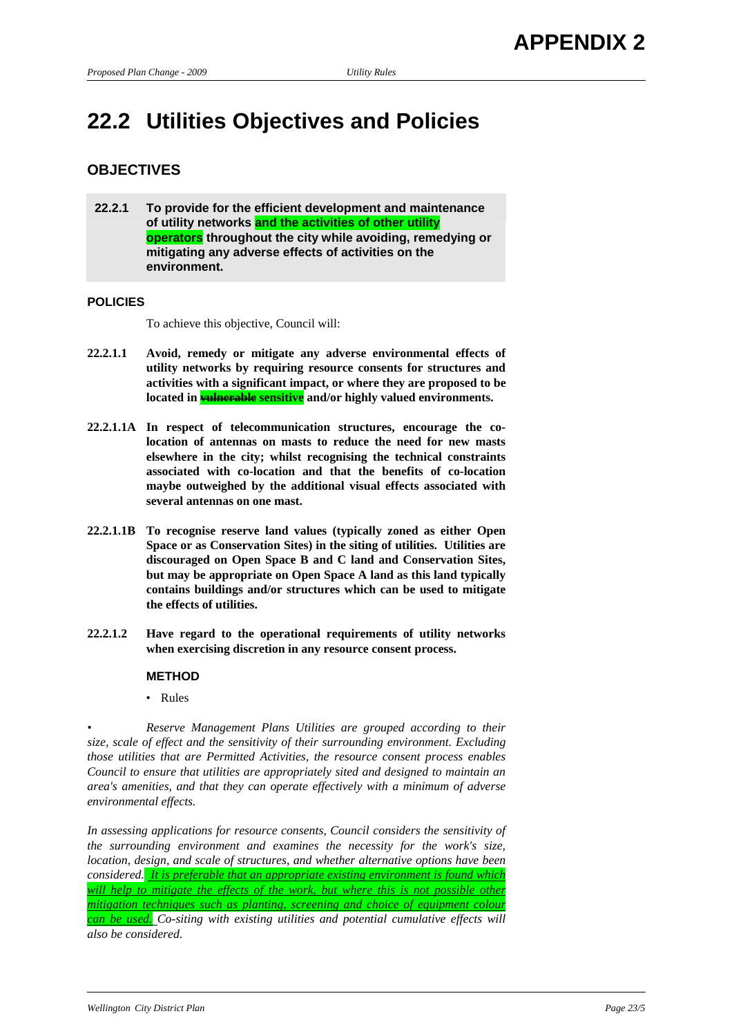# **22.2 Utilities Objectives and Policies**

# **OBJECTIVES**

**22.2.1 To provide for the efficient development and maintenance of utility networks and the activities of other utility operators throughout the city while avoiding, remedying or mitigating any adverse effects of activities on the environment.** 

## **POLICIES**

To achieve this objective, Council will:

- **22.2.1.1 Avoid, remedy or mitigate any adverse environmental effects of utility networks by requiring resource consents for structures and activities with a significant impact, or where they are proposed to be**  located in **<del>vulnerable</del> sensitive** and/or highly valued environments.
- **22.2.1.1A In respect of telecommunication structures, encourage the colocation of antennas on masts to reduce the need for new masts elsewhere in the city; whilst recognising the technical constraints associated with co-location and that the benefits of co-location maybe outweighed by the additional visual effects associated with several antennas on one mast.**
- **22.2.1.1B To recognise reserve land values (typically zoned as either Open Space or as Conservation Sites) in the siting of utilities. Utilities are discouraged on Open Space B and C land and Conservation Sites, but may be appropriate on Open Space A land as this land typically contains buildings and/or structures which can be used to mitigate the effects of utilities.**
- **22.2.1.2 Have regard to the operational requirements of utility networks when exercising discretion in any resource consent process.**

## **METHOD**

• Rules

*• Reserve Management Plans Utilities are grouped according to their size, scale of effect and the sensitivity of their surrounding environment. Excluding those utilities that are Permitted Activities, the resource consent process enables Council to ensure that utilities are appropriately sited and designed to maintain an area's amenities, and that they can operate effectively with a minimum of adverse environmental effects.* 

*In assessing applications for resource consents, Council considers the sensitivity of the surrounding environment and examines the necessity for the work's size, location, design, and scale of structures, and whether alternative options have been considered. It is preferable that an appropriate existing environment is found which will help to mitigate the effects of the work, but where this is not possible other mitigation techniques such as planting, screening and choice of equipment colour can be used. Co-siting with existing utilities and potential cumulative effects will also be considered.*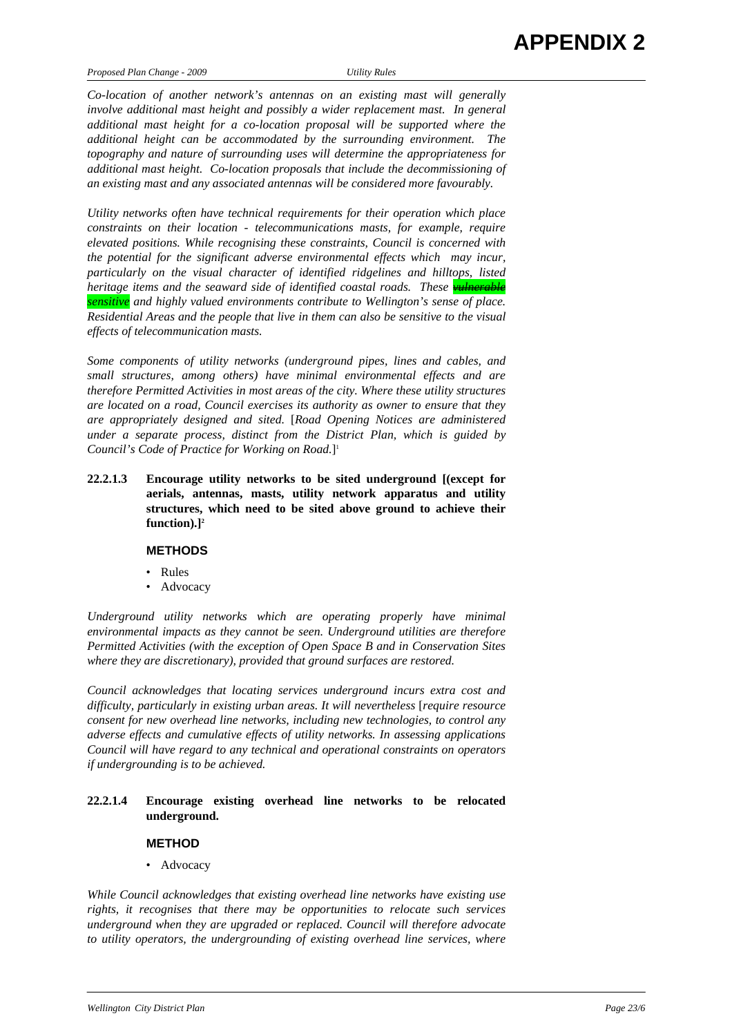*Co-location of another network's antennas on an existing mast will generally involve additional mast height and possibly a wider replacement mast. In general additional mast height for a co-location proposal will be supported where the additional height can be accommodated by the surrounding environment. The topography and nature of surrounding uses will determine the appropriateness for additional mast height. Co-location proposals that include the decommissioning of an existing mast and any associated antennas will be considered more favourably.* 

*Utility networks often have technical requirements for their operation which place constraints on their location - telecommunications masts, for example, require elevated positions. While recognising these constraints, Council is concerned with the potential for the significant adverse environmental effects which may incur, particularly on the visual character of identified ridgelines and hilltops, listed heritage items and the seaward side of identified coastal roads. These* willingtherment *sensitive and highly valued environments contribute to Wellington's sense of place. Residential Areas and the people that live in them can also be sensitive to the visual effects of telecommunication masts.* 

*Some components of utility networks (underground pipes, lines and cables, and small structures, among others) have minimal environmental effects and are therefore Permitted Activities in most areas of the city. Where these utility structures are located on a road, Council exercises its authority as owner to ensure that they are appropriately designed and sited.* [*Road Opening Notices are administered under a separate process, distinct from the District Plan, which is guided by Council's Code of Practice for Working on Road.*] 1

**22.2.1.3 Encourage utility networks to be sited underground [(except for aerials, antennas, masts, utility network apparatus and utility structures, which need to be sited above ground to achieve their function).]2**

## **METHODS**

- Rules
- Advocacy

*Underground utility networks which are operating properly have minimal environmental impacts as they cannot be seen. Underground utilities are therefore Permitted Activities (with the exception of Open Space B and in Conservation Sites where they are discretionary), provided that ground surfaces are restored.* 

*Council acknowledges that locating services underground incurs extra cost and difficulty, particularly in existing urban areas. It will nevertheless* [*require resource consent for new overhead line networks, including new technologies, to control any adverse effects and cumulative effects of utility networks. In assessing applications Council will have regard to any technical and operational constraints on operators if undergrounding is to be achieved.* 

# **22.2.1.4 Encourage existing overhead line networks to be relocated underground.**

## **METHOD**

• Advocacy

*While Council acknowledges that existing overhead line networks have existing use rights, it recognises that there may be opportunities to relocate such services underground when they are upgraded or replaced. Council will therefore advocate to utility operators, the undergrounding of existing overhead line services, where*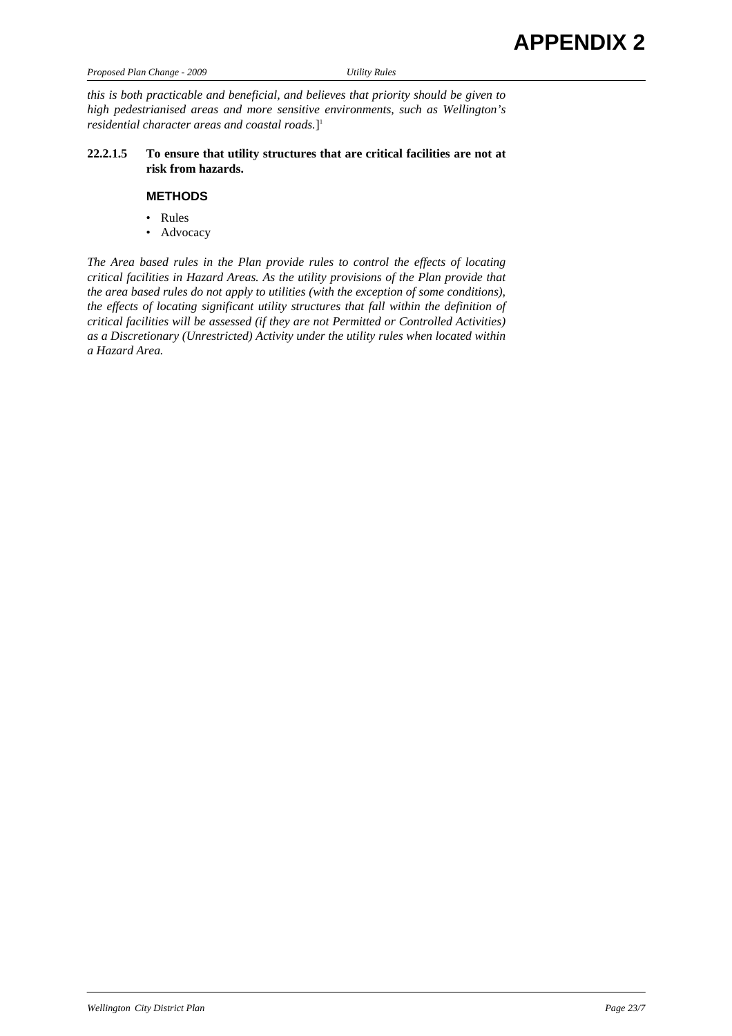| <b>APPENDIX 2</b> |  |
|-------------------|--|
|-------------------|--|

| Proposed Plan Change - 2009 |  |  |
|-----------------------------|--|--|

*Proposed Plan Change - 2009 Utility Rules* 

*this is both practicable and beneficial, and believes that priority should be given to high pedestrianised areas and more sensitive environments, such as Wellington's residential character areas and coastal roads.*] 1

# **22.2.1.5 To ensure that utility structures that are critical facilities are not at risk from hazards.**

# **METHODS**

- Rules
- Advocacy

*The Area based rules in the Plan provide rules to control the effects of locating critical facilities in Hazard Areas. As the utility provisions of the Plan provide that the area based rules do not apply to utilities (with the exception of some conditions), the effects of locating significant utility structures that fall within the definition of critical facilities will be assessed (if they are not Permitted or Controlled Activities) as a Discretionary (Unrestricted) Activity under the utility rules when located within a Hazard Area.*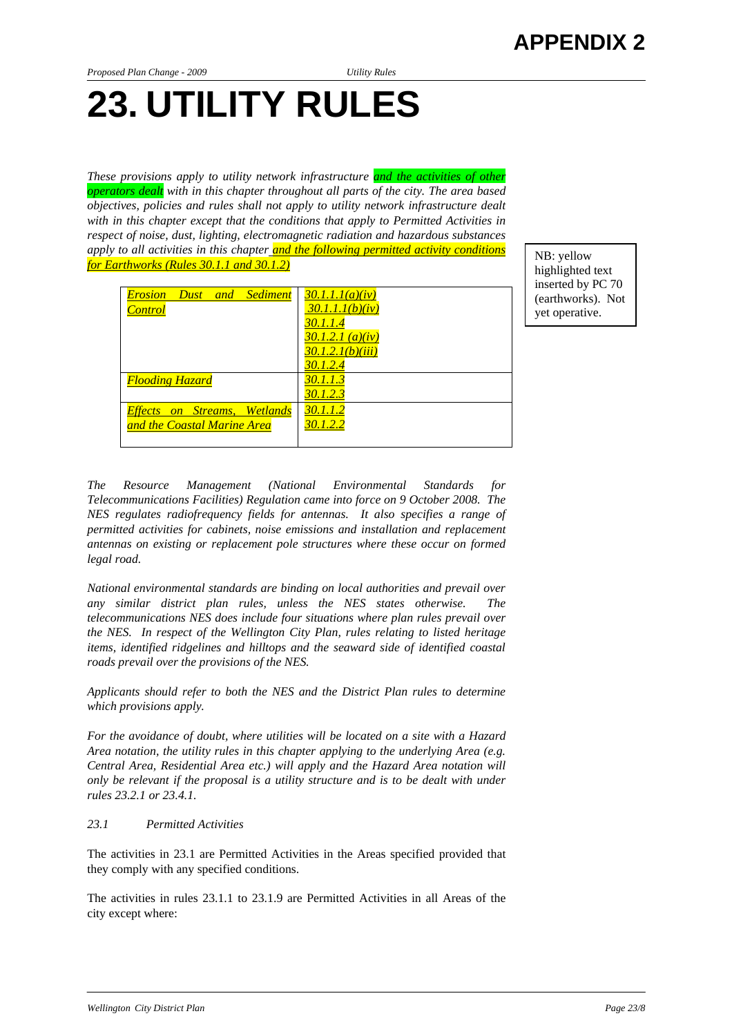# **23. UTILITY RULES**

*These provisions apply to utility network infrastructure and the activities of other operators dealt with in this chapter throughout all parts of the city. The area based objectives, policies and rules shall not apply to utility network infrastructure dealt with in this chapter except that the conditions that apply to Permitted Activities in respect of noise, dust, lighting, electromagnetic radiation and hazardous substances apply to all activities in this chapter and the following permitted activity conditions*  apply to all activities in this chapter <u>and the Jouowing permitted activity conditions</u><br>for Earthworks (Rules 30.1.1 and 30.1.2)

highlighted text inserted by PC 70 (earthworks). Not yet operative.

| <b>Dust</b> and Sediment<br><i>Erosion</i> | 30.1.1.1(a)(iv)  |
|--------------------------------------------|------------------|
| <b>Control</b>                             | 30.1.1.1(b)(iv)  |
|                                            | 30.1.1.4         |
|                                            | 30.1.2.1 (a)(iv) |
|                                            | 30.1.2.1(b)(iii) |
|                                            | 30.1.2.4         |
| <b>Flooding Hazard</b>                     | 30.1.1.3         |
|                                            | 30.1.2.3         |
| <b>Effects on Streams, Wetlands</b>        | 30.1.1.2         |
| and the Coastal Marine Area                | 30.1.2.2         |
|                                            |                  |

*The Resource Management (National Environmental Standards for Telecommunications Facilities) Regulation came into force on 9 October 2008. The NES regulates radiofrequency fields for antennas. It also specifies a range of permitted activities for cabinets, noise emissions and installation and replacement antennas on existing or replacement pole structures where these occur on formed legal road.* 

*National environmental standards are binding on local authorities and prevail over any similar district plan rules, unless the NES states otherwise. The telecommunications NES does include four situations where plan rules prevail over the NES. In respect of the Wellington City Plan, rules relating to listed heritage items, identified ridgelines and hilltops and the seaward side of identified coastal roads prevail over the provisions of the NES.* 

*Applicants should refer to both the NES and the District Plan rules to determine which provisions apply.* 

*For the avoidance of doubt, where utilities will be located on a site with a Hazard Area notation, the utility rules in this chapter applying to the underlying Area (e.g. Central Area, Residential Area etc.) will apply and the Hazard Area notation will only be relevant if the proposal is a utility structure and is to be dealt with under rules 23.2.1 or 23.4.1.* 

## *23.1 Permitted Activities*

The activities in 23.1 are Permitted Activities in the Areas specified provided that they comply with any specified conditions.

The activities in rules 23.1.1 to 23.1.9 are Permitted Activities in all Areas of the city except where: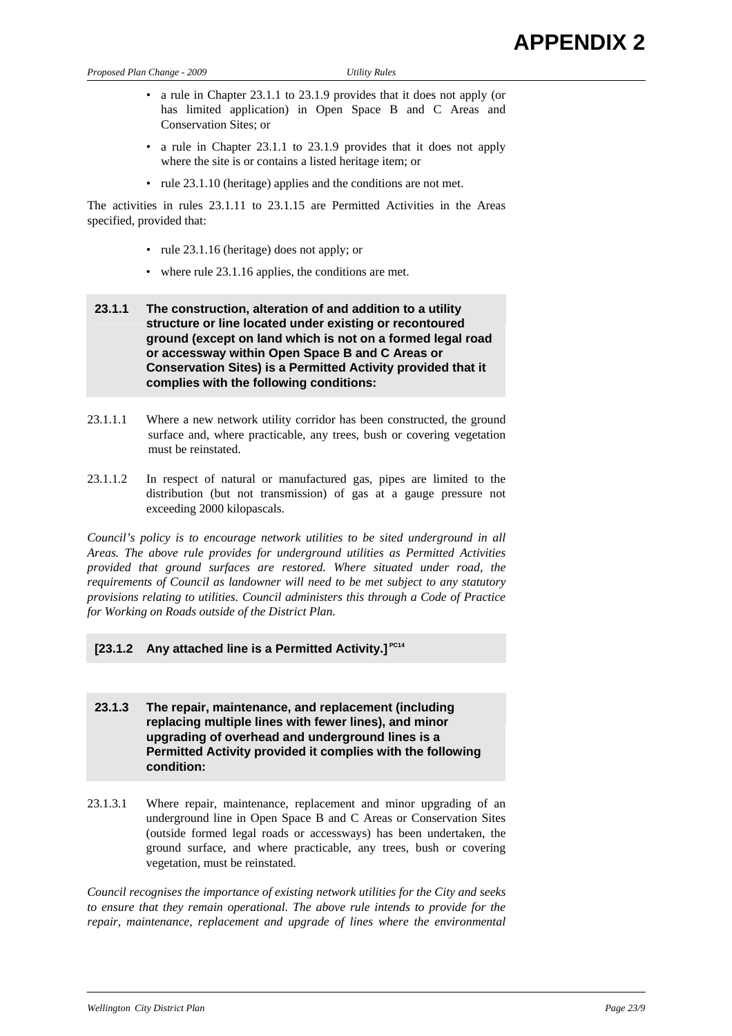- a rule in Chapter 23.1.1 to 23.1.9 provides that it does not apply (or has limited application) in Open Space B and C Areas and Conservation Sites; or
- a rule in Chapter 23.1.1 to 23.1.9 provides that it does not apply where the site is or contains a listed heritage item; or
- rule 23.1.10 (heritage) applies and the conditions are not met.

The activities in rules 23.1.11 to 23.1.15 are Permitted Activities in the Areas specified, provided that:

- rule 23.1.16 (heritage) does not apply; or
- where rule 23.1.16 applies, the conditions are met.

# **23.1.1 The construction, alteration of and addition to a utility structure or line located under existing or recontoured ground (except on land which is not on a formed legal road or accessway within Open Space B and C Areas or Conservation Sites) is a Permitted Activity provided that it complies with the following conditions:**

- 23.1.1.1 Where a new network utility corridor has been constructed, the ground surface and, where practicable, any trees, bush or covering vegetation must be reinstated.
- 23.1.1.2 In respect of natural or manufactured gas, pipes are limited to the distribution (but not transmission) of gas at a gauge pressure not exceeding 2000 kilopascals.

*Council's policy is to encourage network utilities to be sited underground in all Areas. The above rule provides for underground utilities as Permitted Activities provided that ground surfaces are restored. Where situated under road, the requirements of Council as landowner will need to be met subject to any statutory provisions relating to utilities. Council administers this through a Code of Practice for Working on Roads outside of the District Plan.* 

# **[23.1.2 Any attached line is a Permitted Activity.] PC14**

**23.1.3 The repair, maintenance, and replacement (including replacing multiple lines with fewer lines), and minor upgrading of overhead and underground lines is a Permitted Activity provided it complies with the following condition:** 

23.1.3.1 Where repair, maintenance, replacement and minor upgrading of an underground line in Open Space B and C Areas or Conservation Sites (outside formed legal roads or accessways) has been undertaken, the ground surface, and where practicable, any trees, bush or covering vegetation, must be reinstated.

*Council recognises the importance of existing network utilities for the City and seeks to ensure that they remain operational. The above rule intends to provide for the repair, maintenance, replacement and upgrade of lines where the environmental*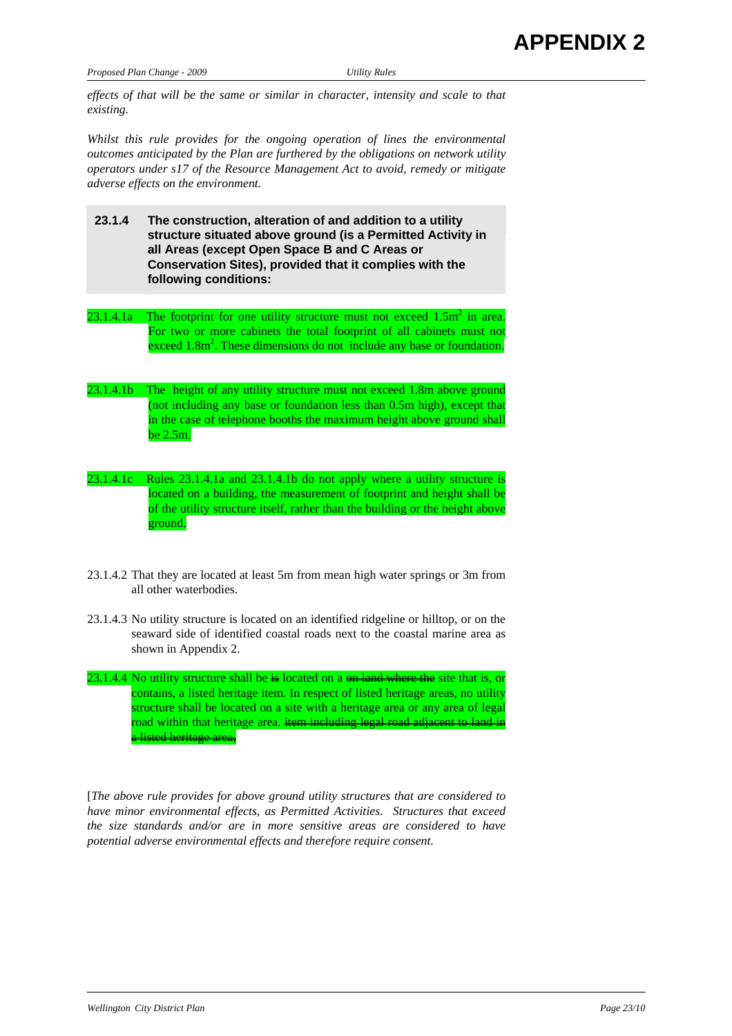*effects of that will be the same or similar in character, intensity and scale to that existing.* 

*Whilst this rule provides for the ongoing operation of lines the environmental outcomes anticipated by the Plan are furthered by the obligations on network utility operators under s17 of the Resource Management Act to avoid, remedy or mitigate adverse effects on the environment.* 

- **23.1.4 The construction, alteration of and addition to a utility structure situated above ground (is a Permitted Activity in all Areas (except Open Space B and C Areas or Conservation Sites), provided that it complies with the following conditions:**
- 23.1.4.1a The footprint for one utility structure must not exceed  $1.5m^2$  in area. For two or more cabinets the total footprint of all cabinets must not exceed 1.8m<sup>2</sup>. These dimensions do not include any base or foundation.
- 23.1.4.1b The height of any utility structure must not exceed 1.8m above ground (not including any base or foundation less than 0.5m high), except that in the case of telephone booths the maximum height above ground shall be 2.5m.
- 23.1.4.1c Rules 23.1.4.1a and 23.1.4.1b do not apply where a utility structure is located on a building, the measurement of footprint and height shall be of the utility structure itself, rather than the building or the height above ground.
- 23.1.4.2 That they are located at least 5m from mean high water springs or 3m from all other waterbodies.
- 23.1.4.3 No utility structure is located on an identified ridgeline or hilltop, or on the seaward side of identified coastal roads next to the coastal marine area as shown in Appendix 2.
- 23.1.4.4 No utility structure shall be  $\frac{1}{2}$  located on a  $\frac{1}{2}$  and where the site that is, or contains, a listed heritage item. In respect of listed heritage areas, no utility structure shall be located on a site with a heritage area or any area of legal road within that heritage area. item including legal road adjacent to a listed heritage area,

[*The above rule provides for above ground utility structures that are considered to have minor environmental effects, as Permitted Activities. Structures that exceed the size standards and/or are in more sensitive areas are considered to have potential adverse environmental effects and therefore require consent.*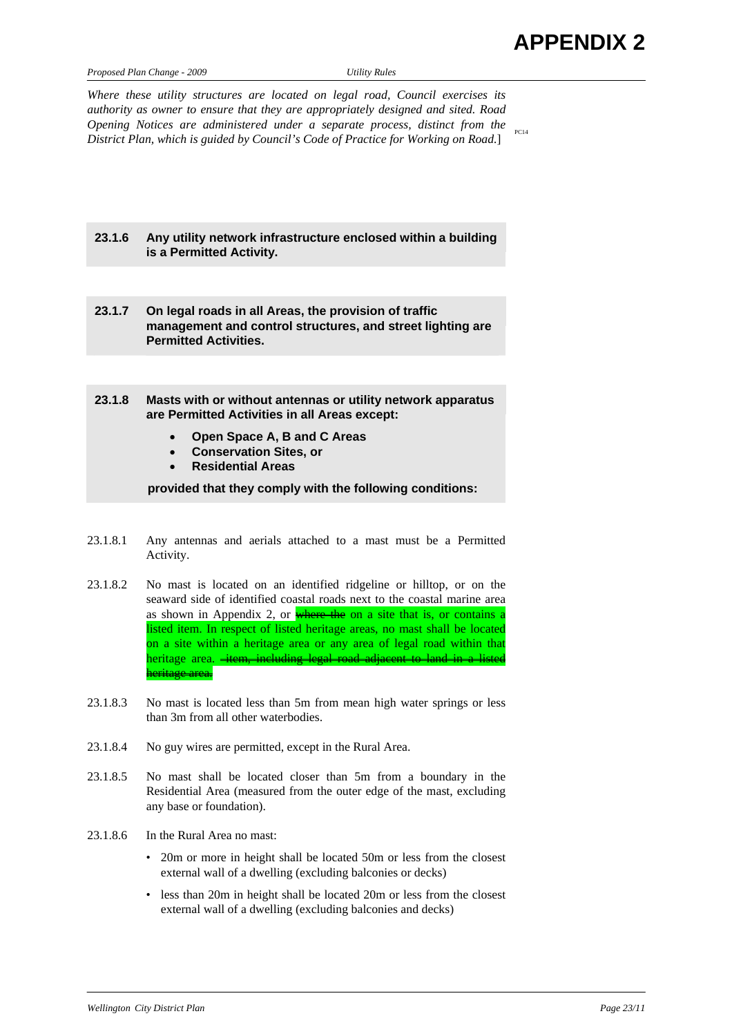| Proposed Plan Change - 2009 |  |  |
|-----------------------------|--|--|
|                             |  |  |

*Proposed Plan Change - 2009 Utility Rules* 

*Where these utility structures are located on legal road, Council exercises its authority as owner to ensure that they are appropriately designed and sited. Road Opening Notices are administered under a separate process, distinct from the Differences are daministered under a separate process, alstinct from the*  $_{_{\text{FC14}}}$ <br>District Plan, which is guided by Council's Code of Practice for Working on Road.]

# **23.1.6 Any utility network infrastructure enclosed within a building is a Permitted Activity.**

- **23.1.7 On legal roads in all Areas, the provision of traffic management and control structures, and street lighting are Permitted Activities.**
- **23.1.8 Masts with or without antennas or utility network apparatus are Permitted Activities in all Areas except:** 
	- **Open Space A, B and C Areas**
	- **Conservation Sites, or**
	- **Residential Areas**

**provided that they comply with the following conditions:** 

- 23.1.8.1 Any antennas and aerials attached to a mast must be a Permitted Activity.
- 23.1.8.2 No mast is located on an identified ridgeline or hilltop, or on the seaward side of identified coastal roads next to the coastal marine area as shown in Appendix 2, or where the on a site that is, or contains a listed item. In respect of listed heritage areas, no mast shall be located on a site within a heritage area or any area of legal road within that heritage area. <del>item, including legal road adjacent to land in a listed</del> heritage area.
- 23.1.8.3 No mast is located less than 5m from mean high water springs or less than 3m from all other waterbodies.
- 23.1.8.4 No guy wires are permitted, except in the Rural Area.
- 23.1.8.5 No mast shall be located closer than 5m from a boundary in the Residential Area (measured from the outer edge of the mast, excluding any base or foundation).
- 23.1.8.6 In the Rural Area no mast:
	- 20m or more in height shall be located 50m or less from the closest external wall of a dwelling (excluding balconies or decks)
	- less than 20m in height shall be located 20m or less from the closest external wall of a dwelling (excluding balconies and decks)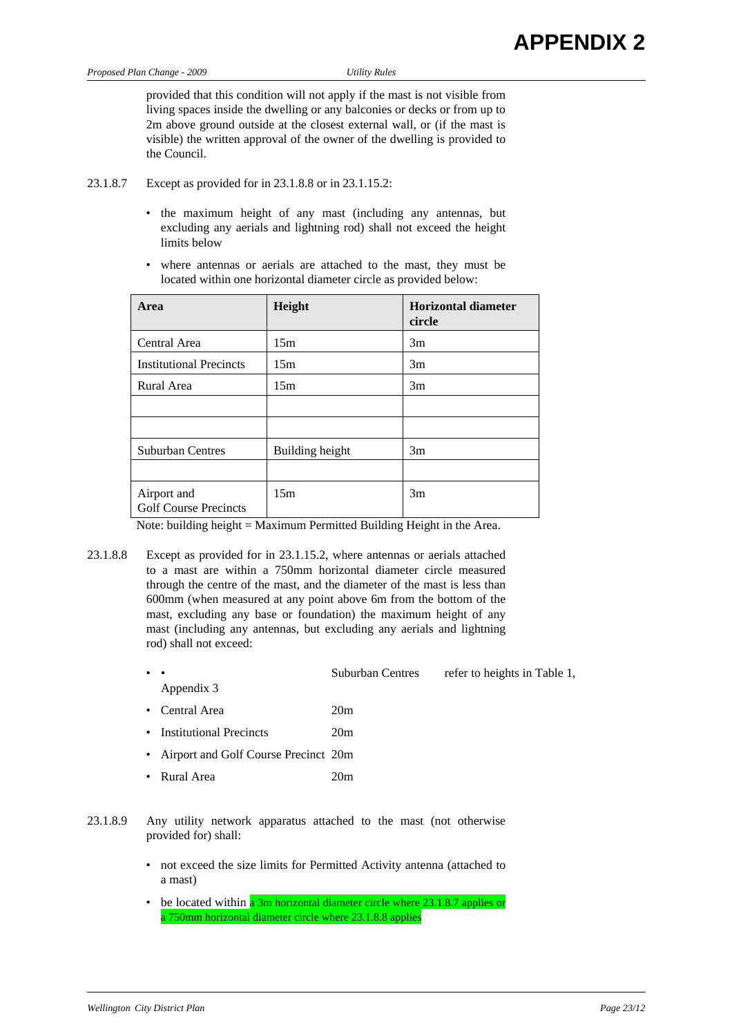provided that this condition will not apply if the mast is not visible from living spaces inside the dwelling or any balconies or decks or from up to 2m above ground outside at the closest external wall, or (if the mast is visible) the written approval of the owner of the dwelling is provided to the Council.

- 23.1.8.7 Except as provided for in 23.1.8.8 or in 23.1.15.2:
	- the maximum height of any mast (including any antennas, but excluding any aerials and lightning rod) shall not exceed the height limits below
	- where antennas or aerials are attached to the mast, they must be located within one horizontal diameter circle as provided below:

| Area                                        | Height          | Horizontal diameter<br>circle |
|---------------------------------------------|-----------------|-------------------------------|
| Central Area                                | 15m             | 3m                            |
| <b>Institutional Precincts</b>              | 15m             | 3m                            |
| Rural Area                                  | 15m             | 3m                            |
|                                             |                 |                               |
|                                             |                 |                               |
| <b>Suburban Centres</b>                     | Building height | 3m                            |
|                                             |                 |                               |
| Airport and<br><b>Golf Course Precincts</b> | 15m             | 3m                            |

Note: building height = Maximum Permitted Building Height in the Area.

- 23.1.8.8 Except as provided for in 23.1.15.2, where antennas or aerials attached to a mast are within a 750mm horizontal diameter circle measured through the centre of the mast, and the diameter of the mast is less than 600mm (when measured at any point above 6m from the bottom of the mast, excluding any base or foundation) the maximum height of any mast (including any antennas, but excluding any aerials and lightning rod) shall not exceed:
	- Suburban Centres refer to heights in Table 1, Appendix 3
	- Central Area 20m
	- Institutional Precincts 20m
	- Airport and Golf Course Precinct 20m
	- Rural Area 20m
- 23.1.8.9 Any utility network apparatus attached to the mast (not otherwise provided for) shall:
	- not exceed the size limits for Permitted Activity antenna (attached to a mast)
	- be located within a 3m horizontal diameter circle where 23.1.8.7 applies or a 750mm horizontal diameter circle where 23.1.8.8 applies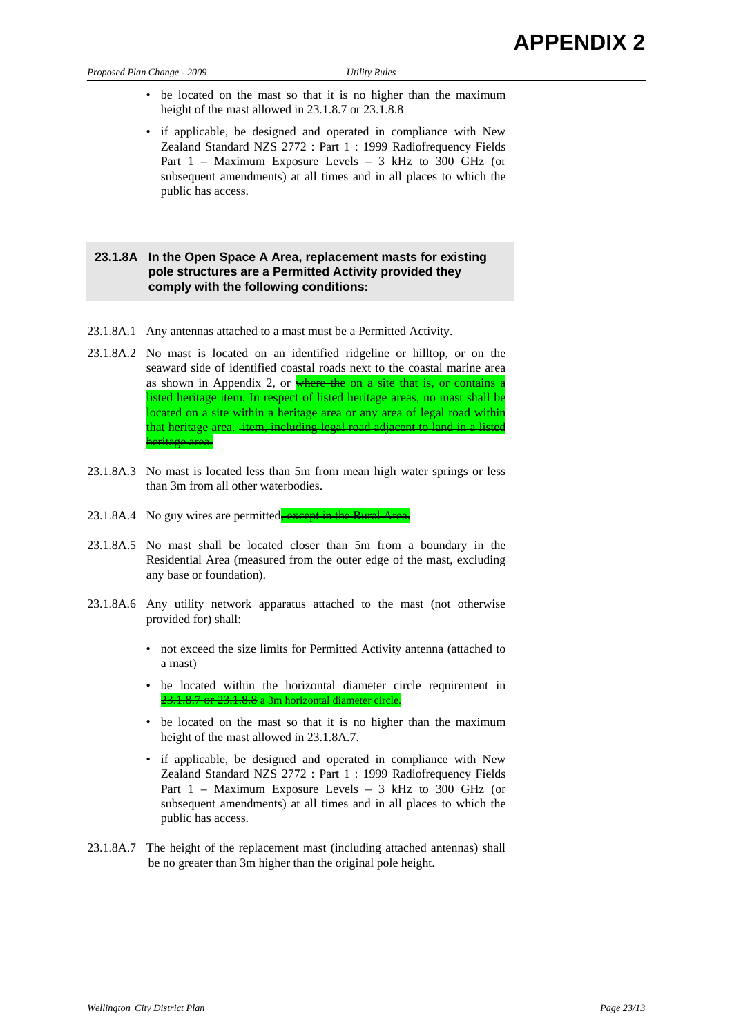- be located on the mast so that it is no higher than the maximum height of the mast allowed in 23.1.8.7 or 23.1.8.8
- if applicable, be designed and operated in compliance with New Zealand Standard NZS 2772 : Part 1 : 1999 Radiofrequency Fields Part 1 – Maximum Exposure Levels – 3 kHz to 300 GHz (or subsequent amendments) at all times and in all places to which the public has access.

# **23.1.8A In the Open Space A Area, replacement masts for existing pole structures are a Permitted Activity provided they comply with the following conditions:**

- 23.1.8A.1 Any antennas attached to a mast must be a Permitted Activity.
- 23.1.8A.2 No mast is located on an identified ridgeline or hilltop, or on the seaward side of identified coastal roads next to the coastal marine area as shown in Appendix 2, or where the on a site that is, or contains a listed heritage item. In respect of listed heritage areas, no mast shall be located on a site within a heritage area or any area of legal road within that heritage area. item, including legal road adjacent to land in a listed heritage area.
- 23.1.8A.3 No mast is located less than 5m from mean high water springs or less than 3m from all other waterbodies.
- 23.1.8A.4 No guy wires are permitted, except in the Rural Area.
- 23.1.8A.5 No mast shall be located closer than 5m from a boundary in the Residential Area (measured from the outer edge of the mast, excluding any base or foundation).
- 23.1.8A.6 Any utility network apparatus attached to the mast (not otherwise provided for) shall:
	- not exceed the size limits for Permitted Activity antenna (attached to a mast)
	- be located within the horizontal diameter circle requirement in 23.1.8.7 or 23.1.8.8 a 3m horizontal diameter circle.
	- be located on the mast so that it is no higher than the maximum height of the mast allowed in 23.1.8A.7.
	- if applicable, be designed and operated in compliance with New Zealand Standard NZS 2772 : Part 1 : 1999 Radiofrequency Fields Part 1 – Maximum Exposure Levels – 3 kHz to 300 GHz (or subsequent amendments) at all times and in all places to which the public has access.
- 23.1.8A.7 The height of the replacement mast (including attached antennas) shall be no greater than 3m higher than the original pole height.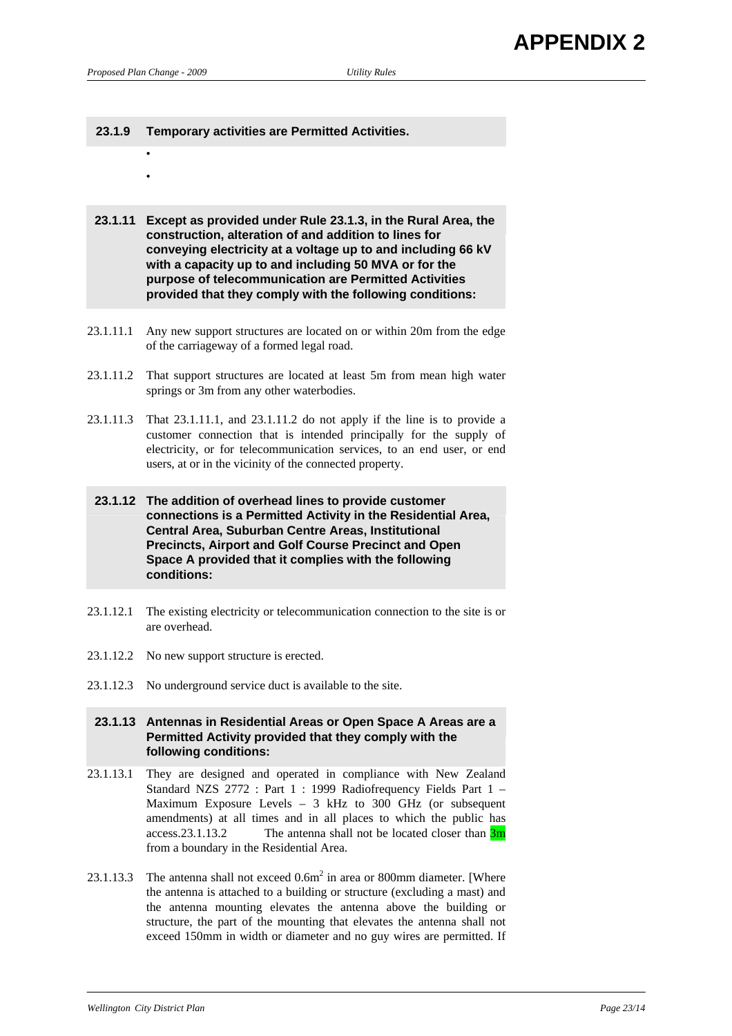• •

# **23.1.9 Temporary activities are Permitted Activities.**

- **23.1.11 Except as provided under Rule 23.1.3, in the Rural Area, the construction, alteration of and addition to lines for conveying electricity at a voltage up to and including 66 kV with a capacity up to and including 50 MVA or for the purpose of telecommunication are Permitted Activities provided that they comply with the following conditions:**
- 23.1.11.1 Any new support structures are located on or within 20m from the edge of the carriageway of a formed legal road.
- 23.1.11.2 That support structures are located at least 5m from mean high water springs or 3m from any other waterbodies.
- 23.1.11.3 That 23.1.11.1, and 23.1.11.2 do not apply if the line is to provide a customer connection that is intended principally for the supply of electricity, or for telecommunication services, to an end user, or end users, at or in the vicinity of the connected property.
- **23.1.12 The addition of overhead lines to provide customer connections is a Permitted Activity in the Residential Area, Central Area, Suburban Centre Areas, Institutional Precincts, Airport and Golf Course Precinct and Open Space A provided that it complies with the following conditions:**
- 23.1.12.1 The existing electricity or telecommunication connection to the site is or are overhead.
- 23.1.12.2 No new support structure is erected.
- 23.1.12.3 No underground service duct is available to the site.

## **23.1.13 Antennas in Residential Areas or Open Space A Areas are a Permitted Activity provided that they comply with the following conditions:**

- 23.1.13.1 They are designed and operated in compliance with New Zealand Standard NZS 2772 : Part 1 : 1999 Radiofrequency Fields Part 1 – Maximum Exposure Levels – 3 kHz to 300 GHz (or subsequent amendments) at all times and in all places to which the public has access.23.1.13.2 The antenna shall not be located closer than  $\frac{3m}{2}$ from a boundary in the Residential Area.
- 23.1.13.3 The antenna shall not exceed  $0.6m^2$  in area or 800mm diameter. [Where the antenna is attached to a building or structure (excluding a mast) and the antenna mounting elevates the antenna above the building or structure, the part of the mounting that elevates the antenna shall not exceed 150mm in width or diameter and no guy wires are permitted. If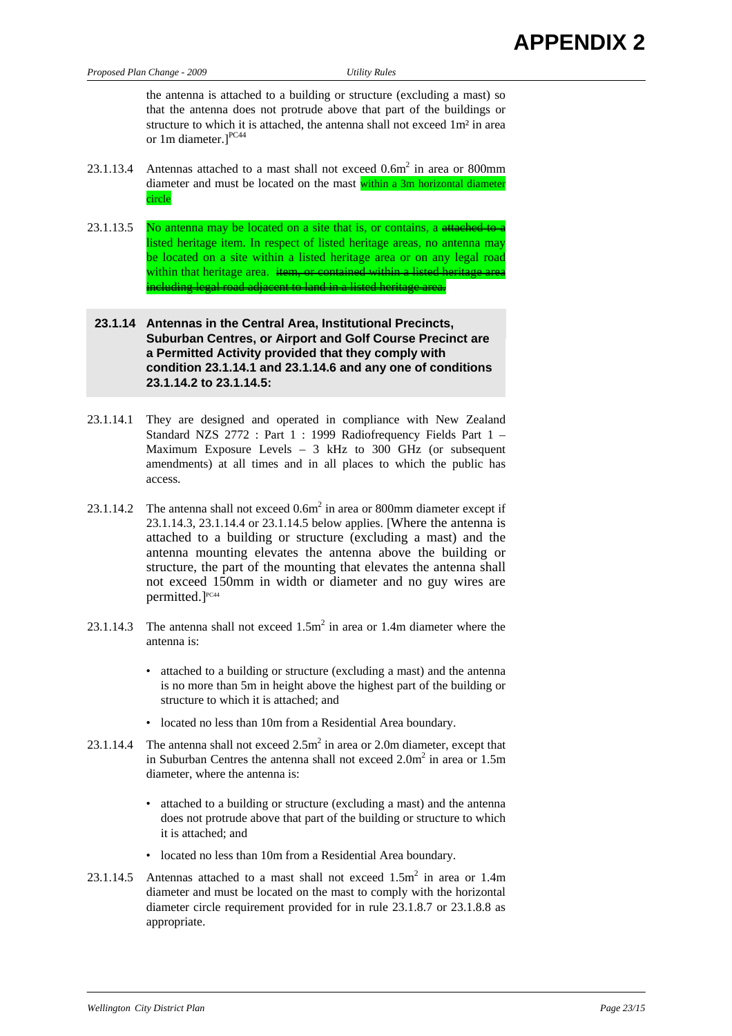the antenna is attached to a building or structure (excluding a mast) so that the antenna does not protrude above that part of the buildings or structure to which it is attached, the antenna shall not exceed 1m² in area or 1m diameter.<sup>1PC44</sup>

- 23.1.13.4 Antennas attached to a mast shall not exceed  $0.6m^2$  in area or 800mm diameter and must be located on the mast within a 3m horizontal diameter circle
- 23.1.13.5 No antenna may be located on a site that is, or contains, a attached to a listed heritage item. In respect of listed heritage areas, no antenna may be located on a site within a listed heritage area or on any legal road within that heritage area. item, or contained within a listed heritage area including legal road adjacent to land in a listed heritage
- **23.1.14 Antennas in the Central Area, Institutional Precincts, Suburban Centres, or Airport and Golf Course Precinct are a Permitted Activity provided that they comply with condition 23.1.14.1 and 23.1.14.6 and any one of conditions 23.1.14.2 to 23.1.14.5:**
- 23.1.14.1 They are designed and operated in compliance with New Zealand Standard NZS 2772 : Part 1 : 1999 Radiofrequency Fields Part 1 – Maximum Exposure Levels – 3 kHz to 300 GHz (or subsequent amendments) at all times and in all places to which the public has access.
- 23.1.14.2 The antenna shall not exceed  $0.6m^2$  in area or 800mm diameter except if 23.1.14.3, 23.1.14.4 or 23.1.14.5 below applies. [Where the antenna is attached to a building or structure (excluding a mast) and the antenna mounting elevates the antenna above the building or structure, the part of the mounting that elevates the antenna shall not exceed 150mm in width or diameter and no guy wires are permitted.]<sup>PC44</sup>
- 23.1.14.3 The antenna shall not exceed  $1.5m^2$  in area or 1.4m diameter where the antenna is:
	- attached to a building or structure (excluding a mast) and the antenna is no more than 5m in height above the highest part of the building or structure to which it is attached; and
	- located no less than 10m from a Residential Area boundary.
- 23.1.14.4 The antenna shall not exceed  $2.5m^2$  in area or 2.0m diameter, except that in Suburban Centres the antenna shall not exceed  $2.0m^2$  in area or  $1.5m$ diameter, where the antenna is:
	- attached to a building or structure (excluding a mast) and the antenna does not protrude above that part of the building or structure to which it is attached; and
	- located no less than 10m from a Residential Area boundary.
- 23.1.14.5 Antennas attached to a mast shall not exceed  $1.5m^2$  in area or 1.4m diameter and must be located on the mast to comply with the horizontal diameter circle requirement provided for in rule 23.1.8.7 or 23.1.8.8 as appropriate.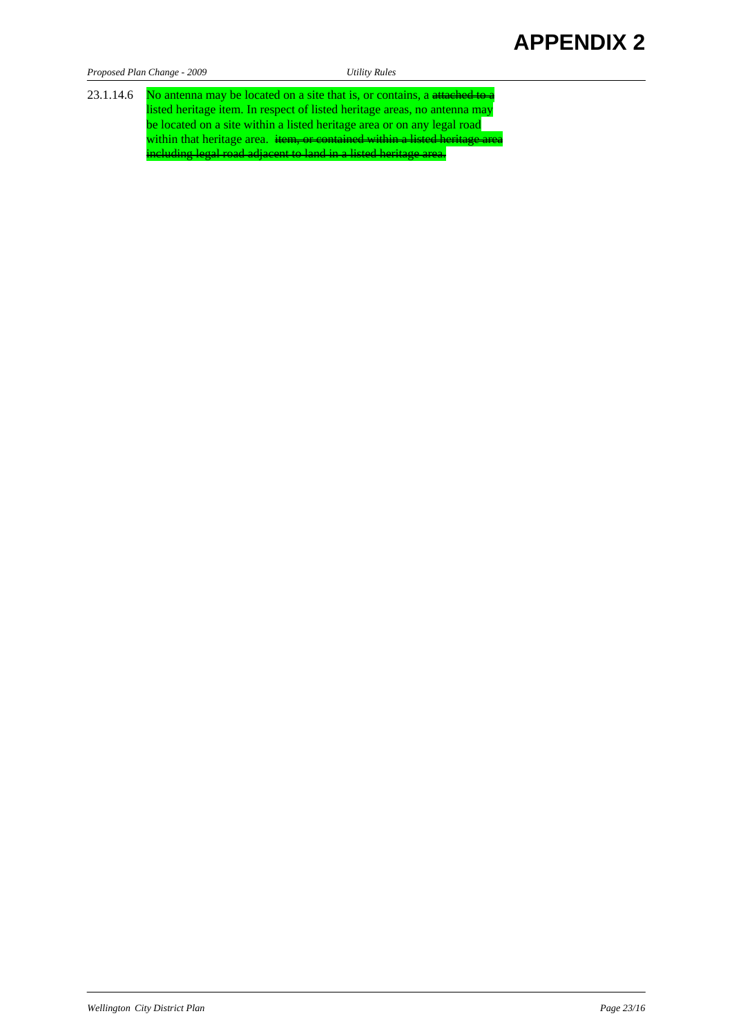# **APPENDIX 2**

| Proposed Plan Change - 2009 |  |  |  |
|-----------------------------|--|--|--|
|                             |  |  |  |

*Proposed Plan Change - 2009 Utility Rules* 

23.1.14.6 No antenna may be located on a site that is, or contains, a attached to a listed heritage item. In respect of listed heritage areas, no antenna may be located on a site within a listed heritage area or on any legal road within that heritage area. item, or contained within a listed heritage area including legal road adjacent to land in a listed heritage area.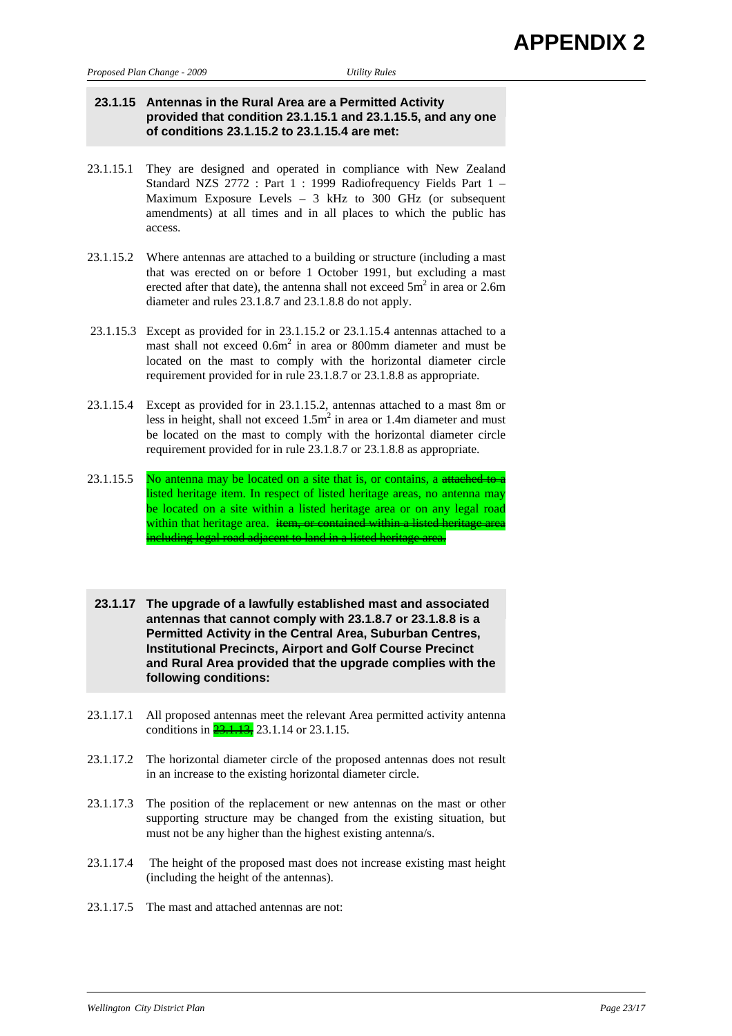# **23.1.15 Antennas in the Rural Area are a Permitted Activity provided that condition 23.1.15.1 and 23.1.15.5, and any one of conditions 23.1.15.2 to 23.1.15.4 are met:**

- 23.1.15.1 They are designed and operated in compliance with New Zealand Standard NZS 2772 : Part 1 : 1999 Radiofrequency Fields Part 1 – Maximum Exposure Levels  $-3$  kHz to 300 GHz (or subsequent amendments) at all times and in all places to which the public has access.
- 23.1.15.2 Where antennas are attached to a building or structure (including a mast that was erected on or before 1 October 1991, but excluding a mast erected after that date), the antenna shall not exceed  $5m^2$  in area or 2.6m diameter and rules 23.1.8.7 and 23.1.8.8 do not apply.
- 23.1.15.3 Except as provided for in 23.1.15.2 or 23.1.15.4 antennas attached to a mast shall not exceed 0.6m<sup>2</sup> in area or 800mm diameter and must be located on the mast to comply with the horizontal diameter circle requirement provided for in rule 23.1.8.7 or 23.1.8.8 as appropriate.
- 23.1.15.4 Except as provided for in 23.1.15.2, antennas attached to a mast 8m or less in height, shall not exceed  $1.5m^2$  in area or 1.4m diameter and must be located on the mast to comply with the horizontal diameter circle requirement provided for in rule 23.1.8.7 or 23.1.8.8 as appropriate.
- 23.1.15.5 No antenna may be located on a site that is, or contains, a attached to a listed heritage item. In respect of listed heritage areas, no antenna may be located on a site within a listed heritage area or on any legal road within that heritage area. item, or contained within a listed heritage area ncluding legal road adjacent to land in a listed heritage area.
- **23.1.17 The upgrade of a lawfully established mast and associated antennas that cannot comply with 23.1.8.7 or 23.1.8.8 is a Permitted Activity in the Central Area, Suburban Centres, Institutional Precincts, Airport and Golf Course Precinct and Rural Area provided that the upgrade complies with the following conditions:**
- 23.1.17.1 All proposed antennas meet the relevant Area permitted activity antenna conditions in  $\frac{23.1.13}{23.1.14}$  or 23.1.15.
- 23.1.17.2 The horizontal diameter circle of the proposed antennas does not result in an increase to the existing horizontal diameter circle.
- 23.1.17.3 The position of the replacement or new antennas on the mast or other supporting structure may be changed from the existing situation, but must not be any higher than the highest existing antenna/s.
- 23.1.17.4 The height of the proposed mast does not increase existing mast height (including the height of the antennas).
- 23.1.17.5 The mast and attached antennas are not: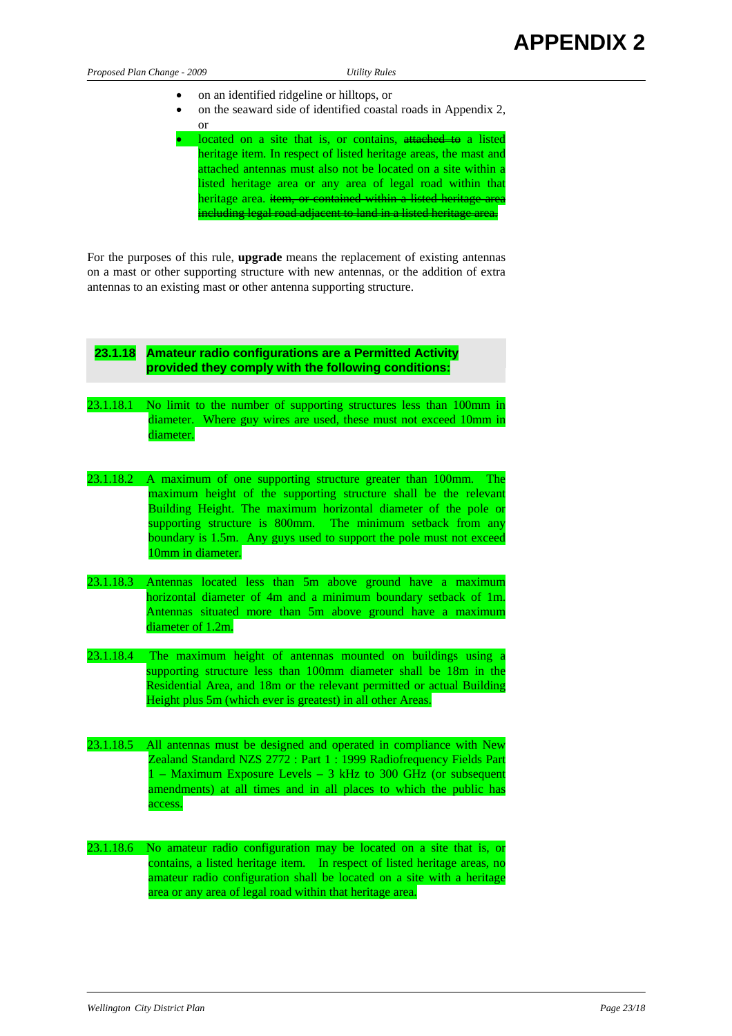| Proposed Plan Change - 2009 | Utility Rules |
|-----------------------------|---------------|
|                             |               |

- on an identified ridgeline or hilltops, or
- on the seaward side of identified coastal roads in Appendix 2, or
	- located on a site that is, or contains, attached to a listed heritage item. In respect of listed heritage areas, the mast and attached antennas must also not be located on a site within a listed heritage area or any area of legal road within that heritage area. item, or contained within a listed heritage area including legal road adjacent to land in a listed heritage area.

For the purposes of this rule, **upgrade** means the replacement of existing antennas on a mast or other supporting structure with new antennas, or the addition of extra antennas to an existing mast or other antenna supporting structure.

| 23.1.18 Amateur radio configurations are a Permitted Activity |
|---------------------------------------------------------------|
| provided they comply with the following conditions:           |
|                                                               |

- 23.1.18.1 No limit to the number of supporting structures less than 100mm in diameter. Where guy wires are used, these must not exceed 10mm in diameter.
- 23.1.18.2 A maximum of one supporting structure greater than 100mm. The maximum height of the supporting structure shall be the relevant Building Height. The maximum horizontal diameter of the pole or supporting structure is 800mm. The minimum setback from any boundary is 1.5m. Any guys used to support the pole must not exceed 10mm in diameter.
- 23.1.18.3 Antennas located less than 5m above ground have a maximum horizontal diameter of 4m and a minimum boundary setback of 1m. Antennas situated more than 5m above ground have a maximum diameter of 1.2m.
- 23.1.18.4 The maximum height of antennas mounted on buildings using a supporting structure less than 100mm diameter shall be 18m in the Residential Area, and 18m or the relevant permitted or actual Building Height plus 5m (which ever is greatest) in all other Areas.
- 23.1.18.5 All antennas must be designed and operated in compliance with New Zealand Standard NZS 2772 : Part 1 : 1999 Radiofrequency Fields Part 1 – Maximum Exposure Levels – 3 kHz to 300 GHz (or subsequent amendments) at all times and in all places to which the public has access.
- 23.1.18.6 No amateur radio configuration may be located on a site that is, or contains, a listed heritage item. In respect of listed heritage areas, no amateur radio configuration shall be located on a site with a heritage area or any area of legal road within that heritage area.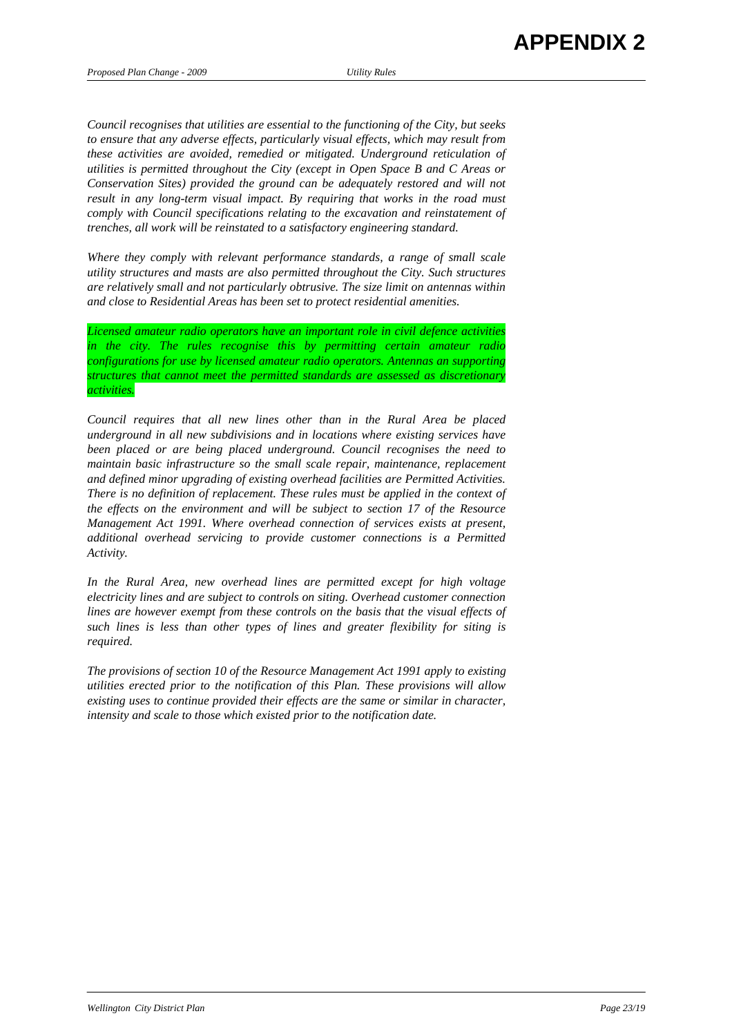*Council recognises that utilities are essential to the functioning of the City, but seeks to ensure that any adverse effects, particularly visual effects, which may result from these activities are avoided, remedied or mitigated. Underground reticulation of utilities is permitted throughout the City (except in Open Space B and C Areas or Conservation Sites) provided the ground can be adequately restored and will not result in any long-term visual impact. By requiring that works in the road must comply with Council specifications relating to the excavation and reinstatement of trenches, all work will be reinstated to a satisfactory engineering standard.* 

*Where they comply with relevant performance standards, a range of small scale utility structures and masts are also permitted throughout the City. Such structures are relatively small and not particularly obtrusive. The size limit on antennas within and close to Residential Areas has been set to protect residential amenities.* 

*Licensed amateur radio operators have an important role in civil defence activities in the city. The rules recognise this by permitting certain amateur radio configurations for use by licensed amateur radio operators. Antennas an supporting structures that cannot meet the permitted standards are assessed as discretionary activities.* 

*Council requires that all new lines other than in the Rural Area be placed underground in all new subdivisions and in locations where existing services have been placed or are being placed underground. Council recognises the need to maintain basic infrastructure so the small scale repair, maintenance, replacement and defined minor upgrading of existing overhead facilities are Permitted Activities. There is no definition of replacement. These rules must be applied in the context of the effects on the environment and will be subject to section 17 of the Resource Management Act 1991. Where overhead connection of services exists at present, additional overhead servicing to provide customer connections is a Permitted Activity.* 

*In the Rural Area, new overhead lines are permitted except for high voltage electricity lines and are subject to controls on siting. Overhead customer connection lines are however exempt from these controls on the basis that the visual effects of such lines is less than other types of lines and greater flexibility for siting is required.* 

*The provisions of section 10 of the Resource Management Act 1991 apply to existing utilities erected prior to the notification of this Plan. These provisions will allow existing uses to continue provided their effects are the same or similar in character, intensity and scale to those which existed prior to the notification date.*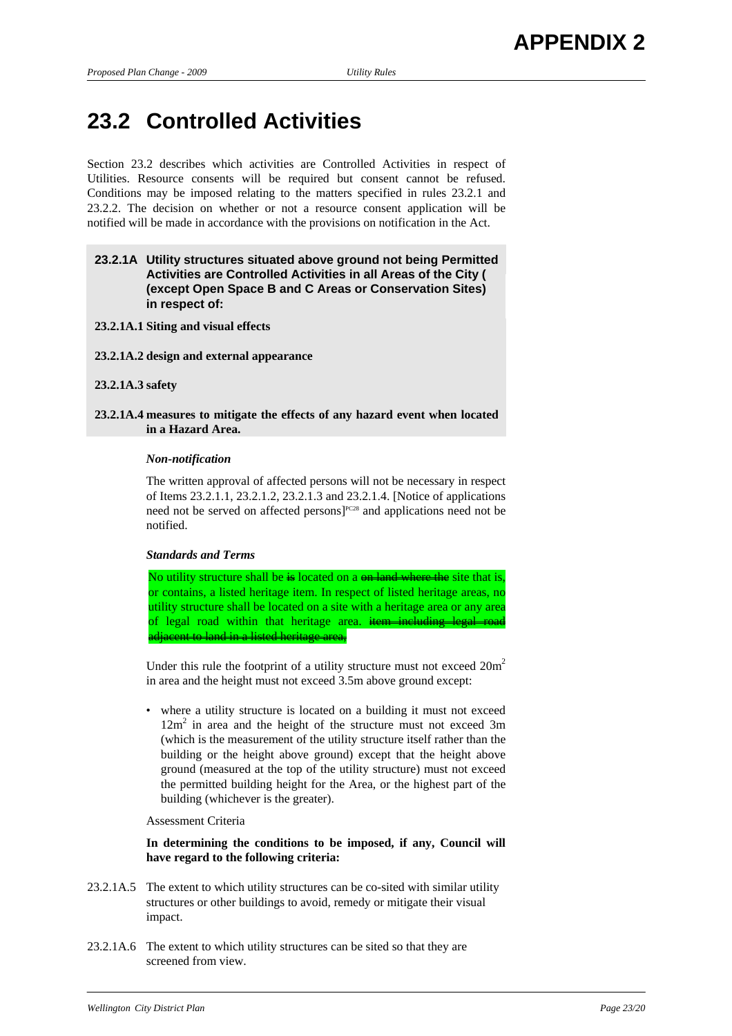# **23.2 Controlled Activities**

Section 23.2 describes which activities are Controlled Activities in respect of Utilities. Resource consents will be required but consent cannot be refused. Conditions may be imposed relating to the matters specified in rules 23.2.1 and 23.2.2. The decision on whether or not a resource consent application will be notified will be made in accordance with the provisions on notification in the Act.

# **23.2.1A Utility structures situated above ground not being Permitted Activities are Controlled Activities in all Areas of the City ( (except Open Space B and C Areas or Conservation Sites) in respect of:**

**23.2.1A.1 Siting and visual effects** 

**23.2.1A.2 design and external appearance** 

**23.2.1A.3 safety** 

**23.2.1A.4 measures to mitigate the effects of any hazard event when located in a Hazard Area.** 

#### *Non-notification*

 The written approval of affected persons will not be necessary in respect of Items 23.2.1.1, 23.2.1.2, 23.2.1.3 and 23.2.1.4. [Notice of applications need not be served on affected persons]<sup>PC28</sup> and applications need not be notified.

#### *Standards and Terms*

No utility structure shall be is located on a on land where the site that is. or contains, a listed heritage item. In respect of listed heritage areas, no utility structure shall be located on a site with a heritage area or any area of legal road within that heritage area. item including legal adjacent to land in a listed heritage area,

Under this rule the footprint of a utility structure must not exceed  $20m^2$ in area and the height must not exceed 3.5m above ground except:

• where a utility structure is located on a building it must not exceed 12m<sup>2</sup> in area and the height of the structure must not exceed 3m (which is the measurement of the utility structure itself rather than the building or the height above ground) except that the height above ground (measured at the top of the utility structure) must not exceed the permitted building height for the Area, or the highest part of the building (whichever is the greater).

Assessment Criteria

 **In determining the conditions to be imposed, if any, Council will have regard to the following criteria:** 

- 23.2.1A.5 The extent to which utility structures can be co-sited with similar utility structures or other buildings to avoid, remedy or mitigate their visual impact.
- 23.2.1A.6 The extent to which utility structures can be sited so that they are screened from view.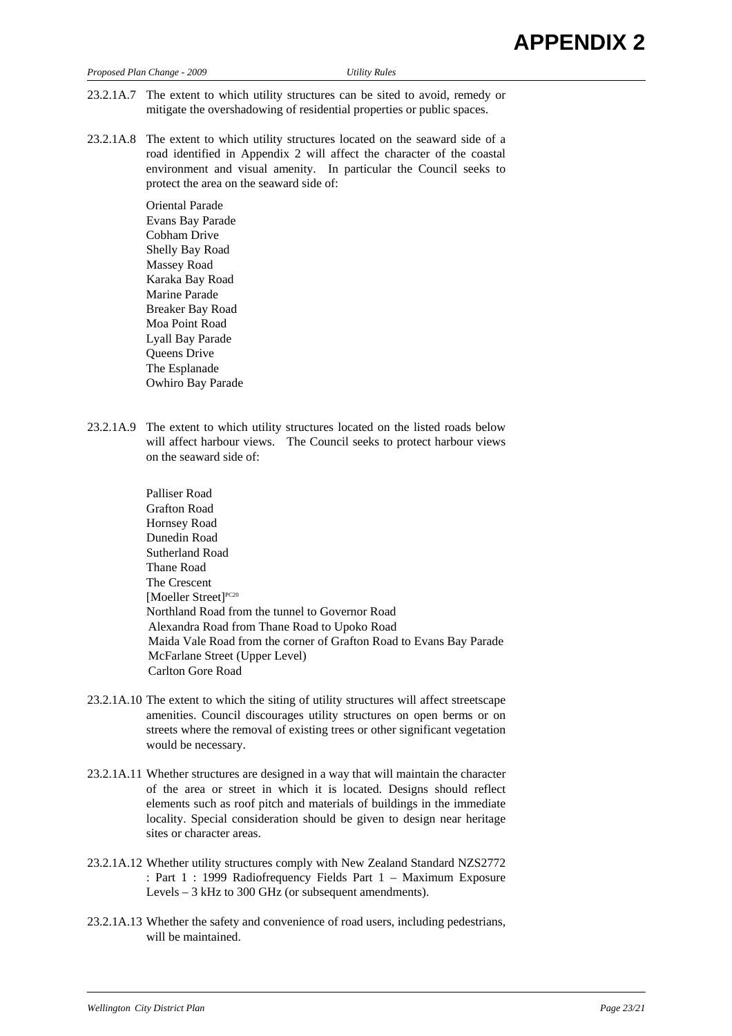| Proposed Plan Change - 2009 |  |  |
|-----------------------------|--|--|
|                             |  |  |

*Proposed Plan Change - 2009 Utility Rules* 

- 23.2.1A.7 The extent to which utility structures can be sited to avoid, remedy or mitigate the overshadowing of residential properties or public spaces.
- 23.2.1A.8 The extent to which utility structures located on the seaward side of a road identified in Appendix 2 will affect the character of the coastal environment and visual amenity. In particular the Council seeks to protect the area on the seaward side of:

Oriental Parade Evans Bay Parade Cobham Drive Shelly Bay Road Massey Road Karaka Bay Road Marine Parade Breaker Bay Road Moa Point Road Lyall Bay Parade Queens Drive The Esplanade Owhiro Bay Parade

- 23.2.1A.9 The extent to which utility structures located on the listed roads below will affect harbour views. The Council seeks to protect harbour views on the seaward side of:
	- Palliser Road Grafton Road Hornsey Road Dunedin Road Sutherland Road Thane Road The Crescent [Moeller Street]<sup>PC20</sup> Northland Road from the tunnel to Governor Road Alexandra Road from Thane Road to Upoko Road Maida Vale Road from the corner of Grafton Road to Evans Bay Parade McFarlane Street (Upper Level) Carlton Gore Road
- 23.2.1A.10 The extent to which the siting of utility structures will affect streetscape amenities. Council discourages utility structures on open berms or on streets where the removal of existing trees or other significant vegetation would be necessary.
- 23.2.1A.11 Whether structures are designed in a way that will maintain the character of the area or street in which it is located. Designs should reflect elements such as roof pitch and materials of buildings in the immediate locality. Special consideration should be given to design near heritage sites or character areas.
- 23.2.1A.12 Whether utility structures comply with New Zealand Standard NZS2772 : Part 1 : 1999 Radiofrequency Fields Part 1 – Maximum Exposure Levels – 3 kHz to 300 GHz (or subsequent amendments).
- 23.2.1A.13 Whether the safety and convenience of road users, including pedestrians, will be maintained.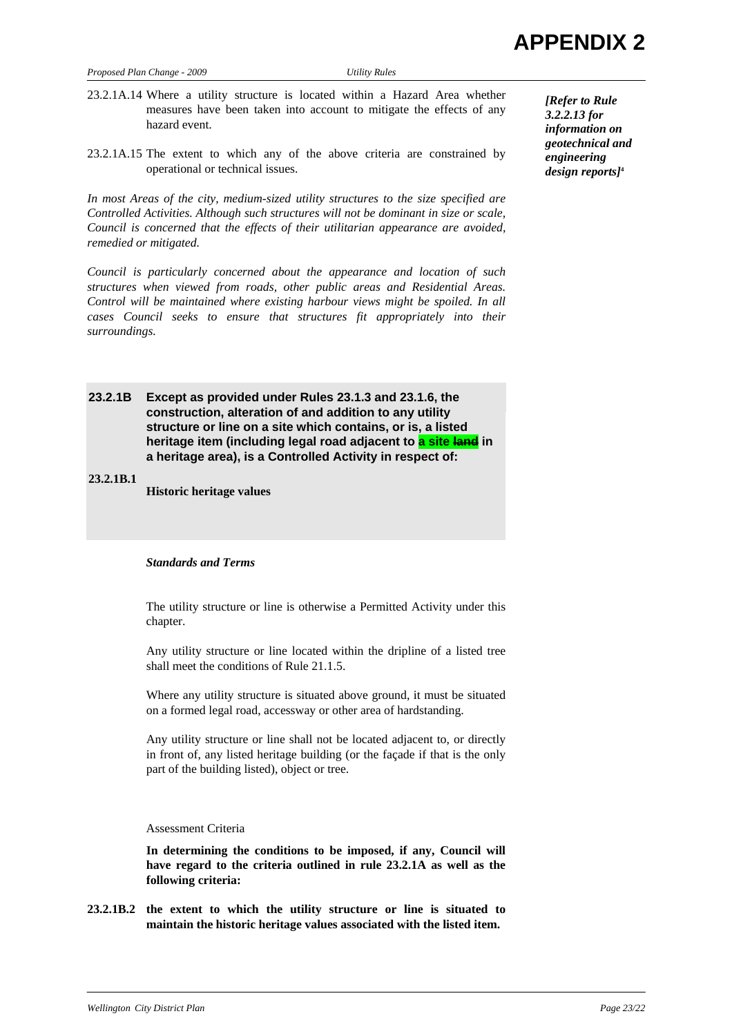- 23.2.1A.14 Where a utility structure is located within a Hazard Area whether measures have been taken into account to mitigate the effects of any hazard event.
- 23.2.1A.15 The extent to which any of the above criteria are constrained by operational or technical issues.

*In most Areas of the city, medium-sized utility structures to the size specified are Controlled Activities. Although such structures will not be dominant in size or scale, Council is concerned that the effects of their utilitarian appearance are avoided, remedied or mitigated.* 

*Council is particularly concerned about the appearance and location of such structures when viewed from roads, other public areas and Residential Areas. Control will be maintained where existing harbour views might be spoiled. In all cases Council seeks to ensure that structures fit appropriately into their surroundings.* 

**23.2.1B Except as provided under Rules 23.1.3 and 23.1.6, the construction, alteration of and addition to any utility structure or line on a site which contains, or is, a listed heritage item (including legal road adjacent to a site land in a heritage area), is a Controlled Activity in respect of:** 

**23.2.1B.1 Historic heritage values** 

#### *Standards and Terms*

 The utility structure or line is otherwise a Permitted Activity under this chapter.

 Any utility structure or line located within the dripline of a listed tree shall meet the conditions of Rule 21.1.5.

 Where any utility structure is situated above ground, it must be situated on a formed legal road, accessway or other area of hardstanding.

 Any utility structure or line shall not be located adjacent to, or directly in front of, any listed heritage building (or the façade if that is the only part of the building listed), object or tree.

#### Assessment Criteria

 **In determining the conditions to be imposed, if any, Council will have regard to the criteria outlined in rule 23.2.1A as well as the following criteria:** 

**23.2.1B.2 the extent to which the utility structure or line is situated to maintain the historic heritage values associated with the listed item.** 

*[Refer to Rule 3.2.2.13 for information on geotechnical and engineering design reports]***<sup>4</sup>**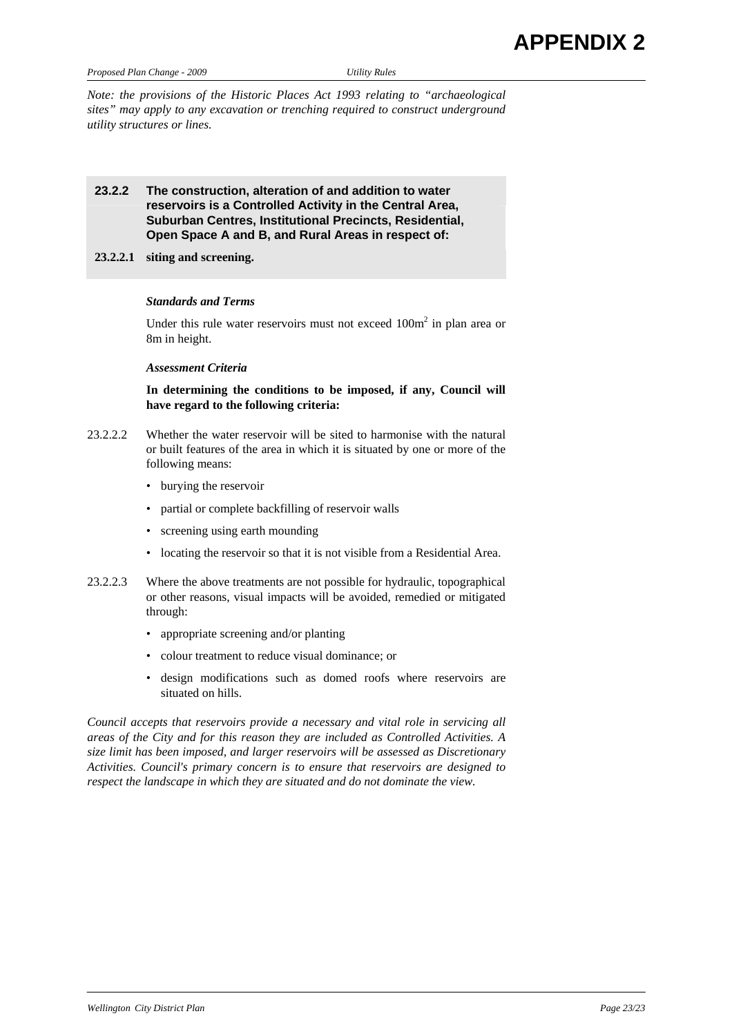*Proposed Plan Change - 2009 Utility Rules* 

*Note: the provisions of the Historic Places Act 1993 relating to "archaeological sites" may apply to any excavation or trenching required to construct underground utility structures or lines.* 

# **23.2.2 The construction, alteration of and addition to water reservoirs is a Controlled Activity in the Central Area, Suburban Centres, Institutional Precincts, Residential, Open Space A and B, and Rural Areas in respect of:**

**23.2.2.1 siting and screening.**

#### *Standards and Terms*

Under this rule water reservoirs must not exceed  $100m<sup>2</sup>$  in plan area or 8m in height.

#### *Assessment Criteria*

 **In determining the conditions to be imposed, if any, Council will have regard to the following criteria:** 

- 23.2.2.2 Whether the water reservoir will be sited to harmonise with the natural or built features of the area in which it is situated by one or more of the following means:
	- burying the reservoir
	- partial or complete backfilling of reservoir walls
	- screening using earth mounding
	- locating the reservoir so that it is not visible from a Residential Area.
- 23.2.2.3 Where the above treatments are not possible for hydraulic, topographical or other reasons, visual impacts will be avoided, remedied or mitigated through:
	- appropriate screening and/or planting
	- colour treatment to reduce visual dominance; or
	- design modifications such as domed roofs where reservoirs are situated on hills.

*Council accepts that reservoirs provide a necessary and vital role in servicing all areas of the City and for this reason they are included as Controlled Activities. A size limit has been imposed, and larger reservoirs will be assessed as Discretionary Activities. Council's primary concern is to ensure that reservoirs are designed to respect the landscape in which they are situated and do not dominate the view.*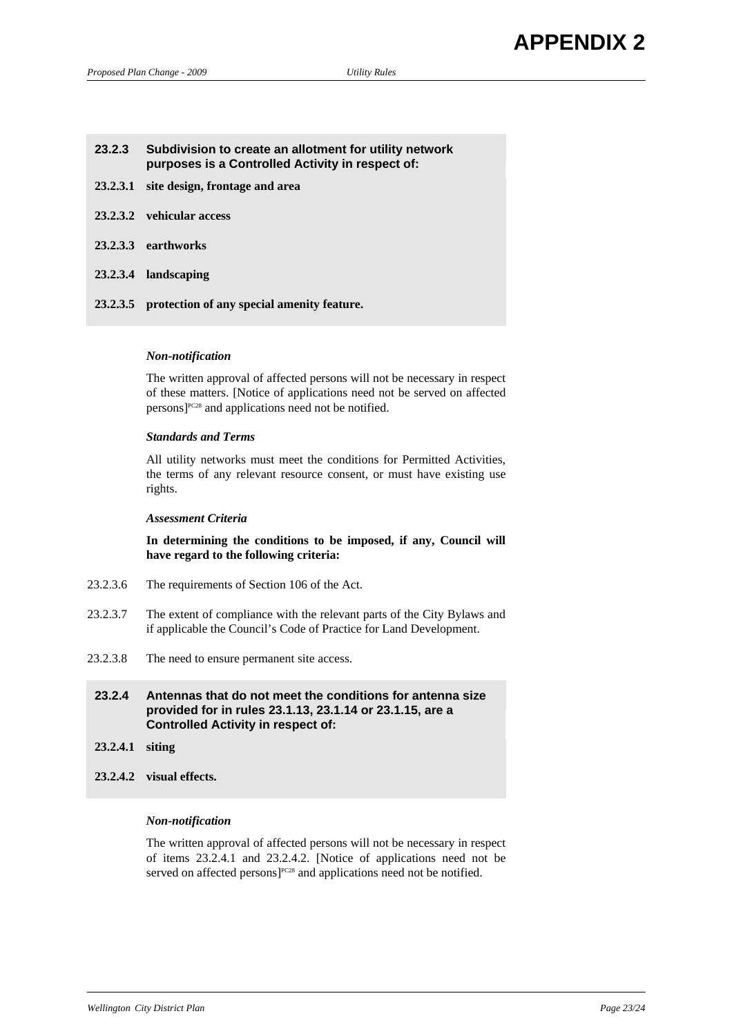# **23.2.3 Subdivision to create an allotment for utility network purposes is a Controlled Activity in respect of:**

- **23.2.3.1 site design, frontage and area**
- **23.2.3.2 vehicular access**
- **23.2.3.3 earthworks**
- **23.2.3.4 landscaping**
- **23.2.3.5 protection of any special amenity feature.**

#### *Non-notification*

 The written approval of affected persons will not be necessary in respect of these matters. [Notice of applications need not be served on affected  $persons$ <sup> $pc28$ </sup> and applications need not be notified.

#### *Standards and Terms*

 All utility networks must meet the conditions for Permitted Activities, the terms of any relevant resource consent, or must have existing use rights.

### *Assessment Criteria*

 **In determining the conditions to be imposed, if any, Council will have regard to the following criteria:** 

- 23.2.3.6 The requirements of Section 106 of the Act.
- 23.2.3.7 The extent of compliance with the relevant parts of the City Bylaws and if applicable the Council's Code of Practice for Land Development.
- 23.2.3.8 The need to ensure permanent site access.

**23.2.4 Antennas that do not meet the conditions for antenna size provided for in rules 23.1.13, 23.1.14 or 23.1.15, are a Controlled Activity in respect of:** 

- **23.2.4.1 siting**
- **23.2.4.2 visual effects.**

#### *Non-notification*

 The written approval of affected persons will not be necessary in respect of items 23.2.4.1 and 23.2.4.2. [Notice of applications need not be served on affected persons<sup>pc28</sup> and applications need not be notified.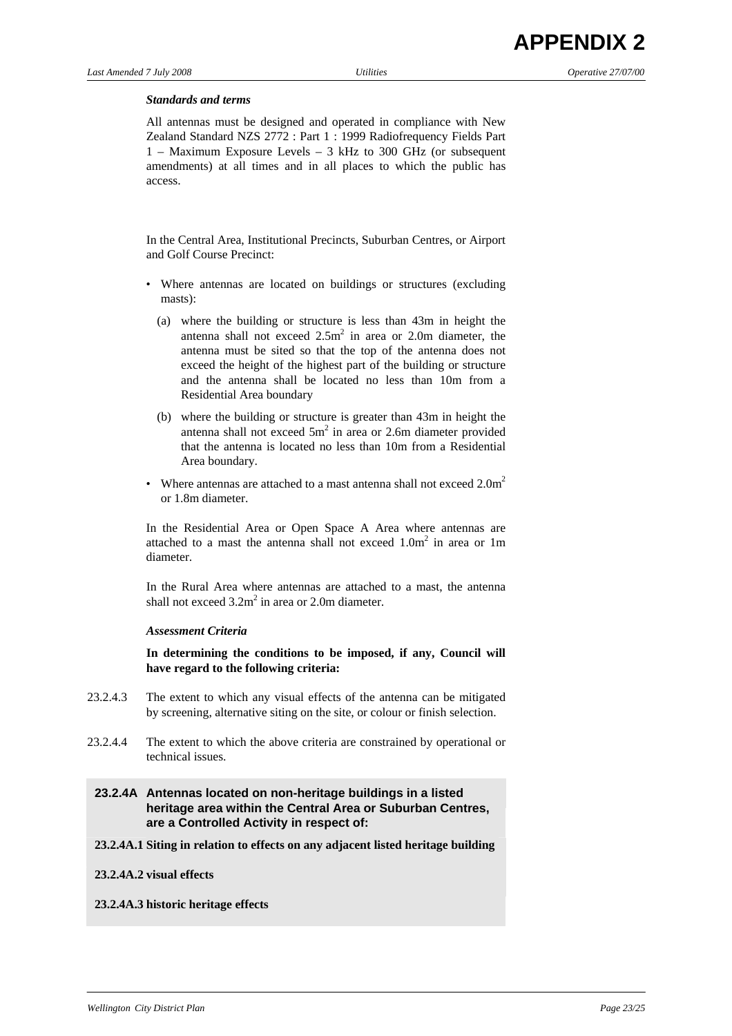#### *Standards and terms*

 All antennas must be designed and operated in compliance with New Zealand Standard NZS 2772 : Part 1 : 1999 Radiofrequency Fields Part 1 – Maximum Exposure Levels – 3 kHz to 300 GHz (or subsequent amendments) at all times and in all places to which the public has access.

 In the Central Area, Institutional Precincts, Suburban Centres, or Airport and Golf Course Precinct:

- Where antennas are located on buildings or structures (excluding masts):
	- (a) where the building or structure is less than 43m in height the antenna shall not exceed  $2.5m<sup>2</sup>$  in area or 2.0m diameter, the antenna must be sited so that the top of the antenna does not exceed the height of the highest part of the building or structure and the antenna shall be located no less than 10m from a Residential Area boundary
	- (b) where the building or structure is greater than 43m in height the antenna shall not exceed  $5m^2$  in area or 2.6m diameter provided that the antenna is located no less than 10m from a Residential Area boundary.
- Where antennas are attached to a mast antenna shall not exceed  $2.0<sup>m</sup>$ or 1.8m diameter.

 In the Residential Area or Open Space A Area where antennas are attached to a mast the antenna shall not exceed  $1.0m^2$  in area or 1m diameter.

 In the Rural Area where antennas are attached to a mast, the antenna shall not exceed  $3.2m^2$  in area or 2.0m diameter.

#### *Assessment Criteria*

 **In determining the conditions to be imposed, if any, Council will have regard to the following criteria:** 

- 23.2.4.3 The extent to which any visual effects of the antenna can be mitigated by screening, alternative siting on the site, or colour or finish selection.
- 23.2.4.4 The extent to which the above criteria are constrained by operational or technical issues.

## **23.2.4A Antennas located on non-heritage buildings in a listed heritage area within the Central Area or Suburban Centres, are a Controlled Activity in respect of:**

**23.2.4A.1 Siting in relation to effects on any adjacent listed heritage building**

#### **23.2.4A.2 visual effects**

#### **23.2.4A.3 historic heritage effects**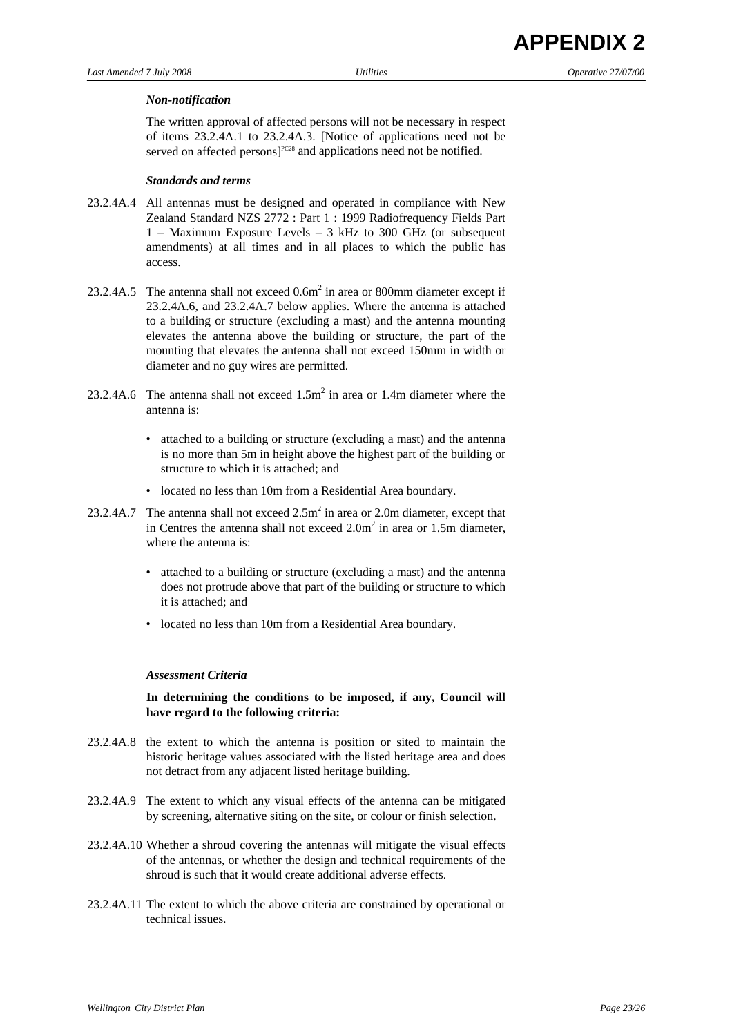#### *Non-notification*

 The written approval of affected persons will not be necessary in respect of items 23.2.4A.1 to 23.2.4A.3. [Notice of applications need not be served on affected persons]<sup>PC28</sup> and applications need not be notified.

#### *Standards and terms*

- 23.2.4A.4 All antennas must be designed and operated in compliance with New Zealand Standard NZS 2772 : Part 1 : 1999 Radiofrequency Fields Part 1 – Maximum Exposure Levels – 3 kHz to 300 GHz (or subsequent amendments) at all times and in all places to which the public has access.
- 23.2.4A.5 The antenna shall not exceed  $0.6m^2$  in area or 800mm diameter except if 23.2.4A.6, and 23.2.4A.7 below applies. Where the antenna is attached to a building or structure (excluding a mast) and the antenna mounting elevates the antenna above the building or structure, the part of the mounting that elevates the antenna shall not exceed 150mm in width or diameter and no guy wires are permitted.
- 23.2.4A.6 The antenna shall not exceed  $1.5m^2$  in area or 1.4m diameter where the antenna is:
	- attached to a building or structure (excluding a mast) and the antenna is no more than 5m in height above the highest part of the building or structure to which it is attached; and
	- located no less than 10m from a Residential Area boundary.
- 23.2.4A.7 The antenna shall not exceed  $2.5m^2$  in area or 2.0m diameter, except that in Centres the antenna shall not exceed  $2.0m^2$  in area or 1.5m diameter, where the antenna is:
	- attached to a building or structure (excluding a mast) and the antenna does not protrude above that part of the building or structure to which it is attached; and
	- located no less than 10m from a Residential Area boundary.

#### *Assessment Criteria*

 **In determining the conditions to be imposed, if any, Council will have regard to the following criteria:** 

- 23.2.4A.8 the extent to which the antenna is position or sited to maintain the historic heritage values associated with the listed heritage area and does not detract from any adjacent listed heritage building.
- 23.2.4A.9 The extent to which any visual effects of the antenna can be mitigated by screening, alternative siting on the site, or colour or finish selection.
- 23.2.4A.10 Whether a shroud covering the antennas will mitigate the visual effects of the antennas, or whether the design and technical requirements of the shroud is such that it would create additional adverse effects.
- 23.2.4A.11 The extent to which the above criteria are constrained by operational or technical issues.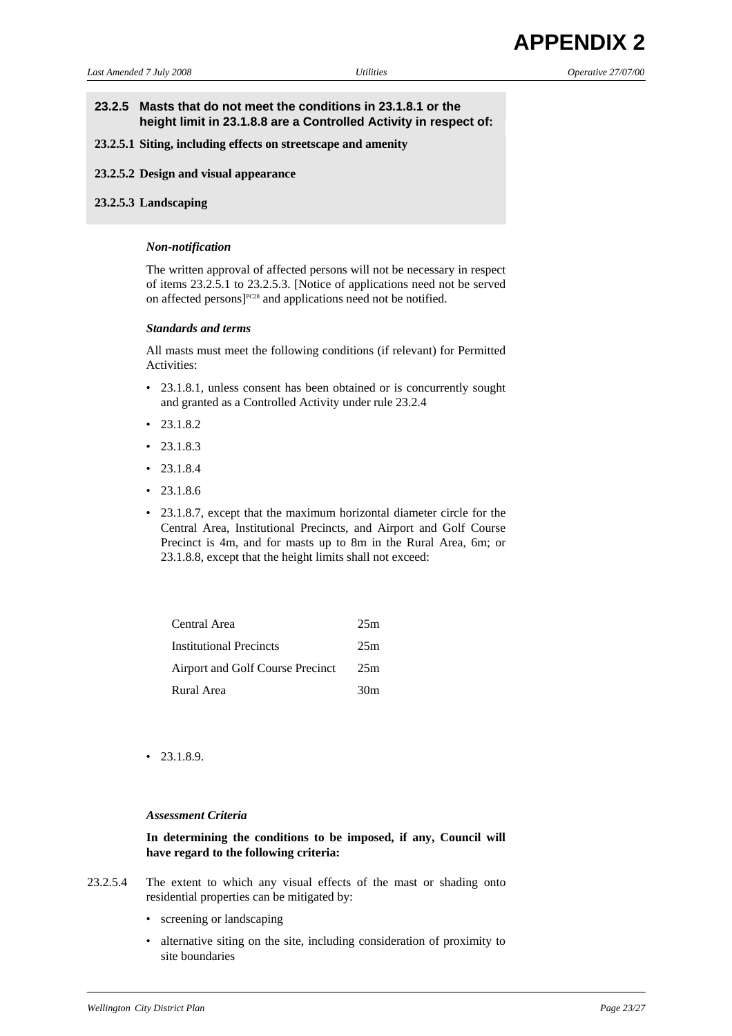### **23.2.5 Masts that do not meet the conditions in 23.1.8.1 or the height limit in 23.1.8.8 are a Controlled Activity in respect of:**

#### **23.2.5.1 Siting, including effects on streetscape and amenity**

**23.2.5.2 Design and visual appearance**

#### **23.2.5.3 Landscaping**

#### *Non-notification*

 The written approval of affected persons will not be necessary in respect of items 23.2.5.1 to 23.2.5.3. [Notice of applications need not be served on affected persons]<sup>PC28</sup> and applications need not be notified.

#### *Standards and terms*

 All masts must meet the following conditions (if relevant) for Permitted Activities:

- 23.1.8.1, unless consent has been obtained or is concurrently sought and granted as a Controlled Activity under rule 23.2.4
- 23.1.8.2
- $23.1.8.3$
- $23.1.8.4$
- $23.1.8.6$
- 23.1.8.7, except that the maximum horizontal diameter circle for the Central Area, Institutional Precincts, and Airport and Golf Course Precinct is 4m, and for masts up to 8m in the Rural Area, 6m; or 23.1.8.8, except that the height limits shall not exceed:

| Central Area                     | 25m |
|----------------------------------|-----|
| <b>Institutional Precincts</b>   | 25m |
| Airport and Golf Course Precinct | 25m |
| Rural Area                       | 30m |

• 23.1.8.9.

### *Assessment Criteria*

### **In determining the conditions to be imposed, if any, Council will have regard to the following criteria:**

- 23.2.5.4 The extent to which any visual effects of the mast or shading onto residential properties can be mitigated by:
	- screening or landscaping
	- alternative siting on the site, including consideration of proximity to site boundaries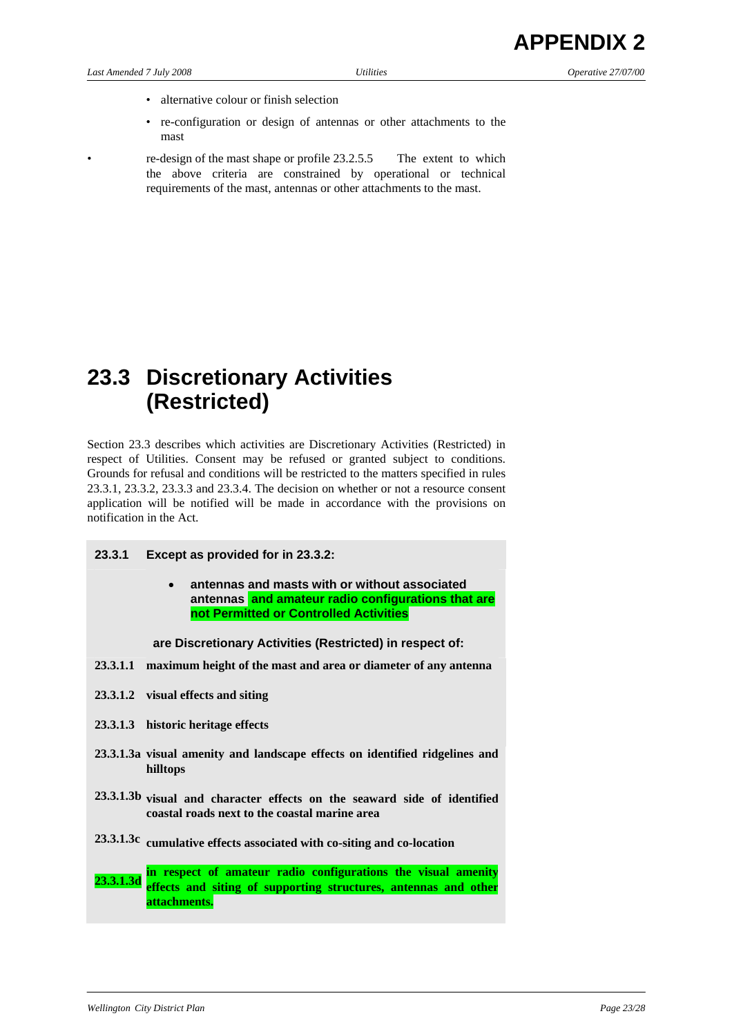- 
- alternative colour or finish selection
- re-configuration or design of antennas or other attachments to the mast
- re-design of the mast shape or profile 23.2.5.5 The extent to which the above criteria are constrained by operational or technical requirements of the mast, antennas or other attachments to the mast.

# **23.3 Discretionary Activities (Restricted)**

Section 23.3 describes which activities are Discretionary Activities (Restricted) in respect of Utilities. Consent may be refused or granted subject to conditions. Grounds for refusal and conditions will be restricted to the matters specified in rules 23.3.1, 23.3.2, 23.3.3 and 23.3.4. The decision on whether or not a resource consent application will be notified will be made in accordance with the provisions on notification in the Act.

- **23.3.1 Except as provided for in 23.3.2:** 
	- **antennas and masts with or without associated antennas and amateur radio configurations that are not Permitted or Controlled Activities**

 **are Discretionary Activities (Restricted) in respect of:** 

- **23.3.1.1 maximum height of the mast and area or diameter of any antenna**
- **23.3.1.2 visual effects and siting**
- **23.3.1.3 historic heritage effects**
- **23.3.1.3a visual amenity and landscape effects on identified ridgelines and hilltops**
- **23.3.1.3b visual and character effects on the seaward side of identified coastal roads next to the coastal marine area**
- **23.3.1.3c cumulative effects associated with co-siting and co-location**

**23.3.1.3d in respect of amateur radio configurations the visual amenity effects and siting of supporting structures, antennas and other attachments.**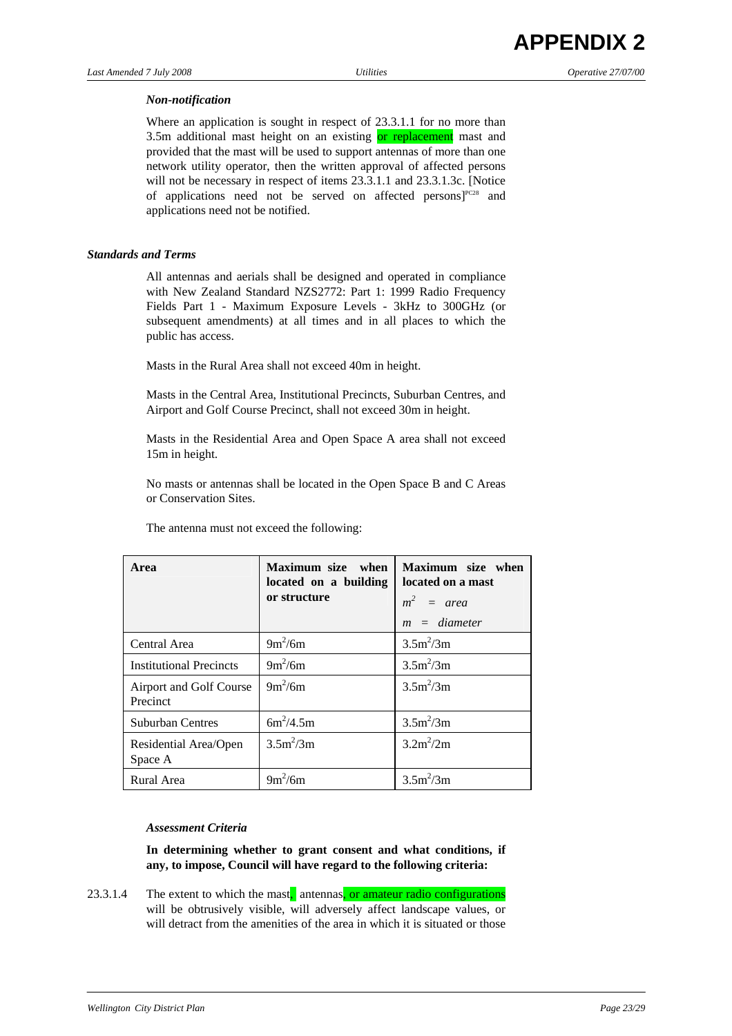# *Non-notification*

 Where an application is sought in respect of 23.3.1.1 for no more than 3.5m additional mast height on an existing or replacement mast and provided that the mast will be used to support antennas of more than one network utility operator, then the written approval of affected persons will not be necessary in respect of items 23.3.1.1 and 23.3.1.3c. [Notice] of applications need not be served on affected persons]<sup>PC28</sup> and applications need not be notified.

# *Standards and Terms*

 All antennas and aerials shall be designed and operated in compliance with New Zealand Standard NZS2772: Part 1: 1999 Radio Frequency Fields Part 1 - Maximum Exposure Levels - 3kHz to 300GHz (or subsequent amendments) at all times and in all places to which the public has access.

Masts in the Rural Area shall not exceed 40m in height.

 Masts in the Central Area, Institutional Precincts, Suburban Centres, and Airport and Golf Course Precinct, shall not exceed 30m in height.

 Masts in the Residential Area and Open Space A area shall not exceed 15m in height.

 No masts or antennas shall be located in the Open Space B and C Areas or Conservation Sites.

| Area                                | Maximum size<br>when<br>located on a building<br>or structure | Maximum size when<br>located on a mast<br>$m^2$ = area<br>$m = diameter$ |
|-------------------------------------|---------------------------------------------------------------|--------------------------------------------------------------------------|
| Central Area                        | $9m^2/6m$                                                     | $3.5m^2/3m$                                                              |
| <b>Institutional Precincts</b>      | $9m^2/6m$                                                     | $3.5m^2/3m$                                                              |
| Airport and Golf Course<br>Precinct | $9m^2/6m$                                                     | $3.5m^2/3m$                                                              |
| <b>Suburban Centres</b>             | $6m^2/4.5m$                                                   | $3.5m^2/3m$                                                              |
| Residential Area/Open<br>Space A    | $3.5m^2/3m$                                                   | $3.2m^2/2m$                                                              |
| Rural Area                          | $9m^2/6m$                                                     | $3.5m^2/3m$                                                              |

The antenna must not exceed the following:

# *Assessment Criteria*

 **In determining whether to grant consent and what conditions, if any, to impose, Council will have regard to the following criteria:** 

23.3.1.4 The extent to which the mast, antennas, or amateur radio configurations will be obtrusively visible, will adversely affect landscape values, or will detract from the amenities of the area in which it is situated or those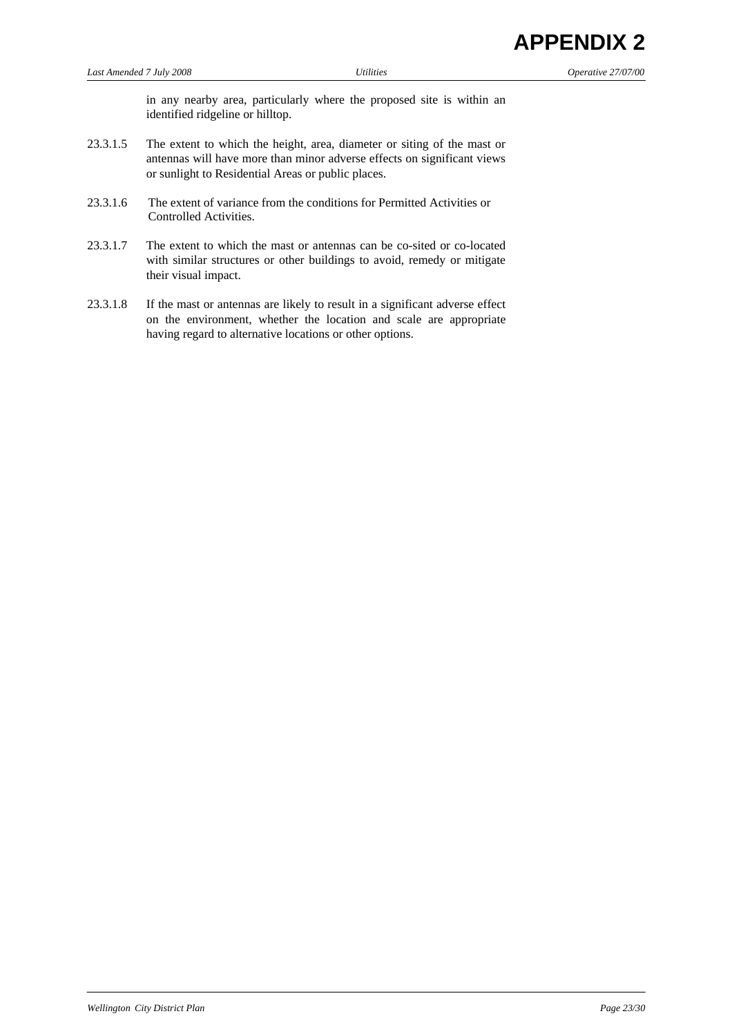in any nearby area, particularly where the proposed site is within an identified ridgeline or hilltop.

- 23.3.1.5 The extent to which the height, area, diameter or siting of the mast or antennas will have more than minor adverse effects on significant views or sunlight to Residential Areas or public places.
- 23.3.1.6 The extent of variance from the conditions for Permitted Activities or Controlled Activities.
- 23.3.1.7 The extent to which the mast or antennas can be co-sited or co-located with similar structures or other buildings to avoid, remedy or mitigate their visual impact.
- 23.3.1.8 If the mast or antennas are likely to result in a significant adverse effect on the environment, whether the location and scale are appropriate having regard to alternative locations or other options.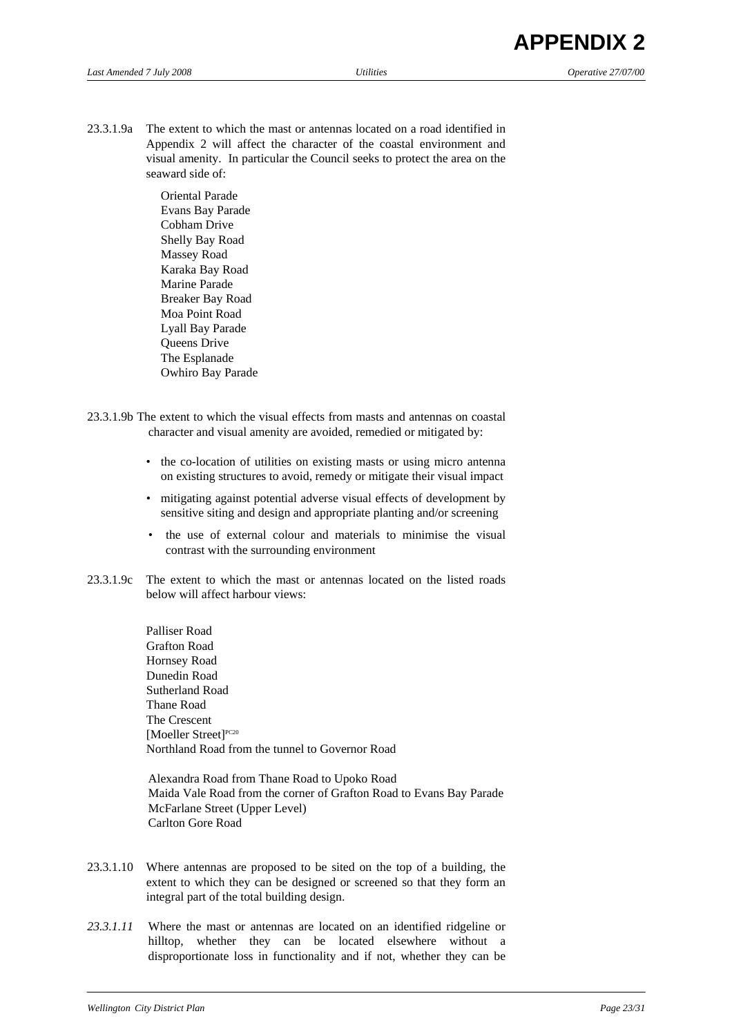23.3.1.9a The extent to which the mast or antennas located on a road identified in Appendix 2 will affect the character of the coastal environment and visual amenity. In particular the Council seeks to protect the area on the seaward side of:

> Oriental Parade Evans Bay Parade Cobham Drive Shelly Bay Road Massey Road Karaka Bay Road Marine Parade Breaker Bay Road Moa Point Road Lyall Bay Parade Queens Drive The Esplanade Owhiro Bay Parade

- 23.3.1.9b The extent to which the visual effects from masts and antennas on coastal character and visual amenity are avoided, remedied or mitigated by:
	- the co-location of utilities on existing masts or using micro antenna on existing structures to avoid, remedy or mitigate their visual impact
	- mitigating against potential adverse visual effects of development by sensitive siting and design and appropriate planting and/or screening
	- the use of external colour and materials to minimise the visual contrast with the surrounding environment
- 23.3.1.9c The extent to which the mast or antennas located on the listed roads below will affect harbour views:

Palliser Road Grafton Road Hornsey Road Dunedin Road Sutherland Road Thane Road The Crescent [Moeller Street]<sup>PC20</sup> Northland Road from the tunnel to Governor Road

Alexandra Road from Thane Road to Upoko Road Maida Vale Road from the corner of Grafton Road to Evans Bay Parade McFarlane Street (Upper Level) Carlton Gore Road

- 23.3.1.10 Where antennas are proposed to be sited on the top of a building, the extent to which they can be designed or screened so that they form an integral part of the total building design.
- *23.3.1.11* Where the mast or antennas are located on an identified ridgeline or hilltop, whether they can be located elsewhere without a disproportionate loss in functionality and if not, whether they can be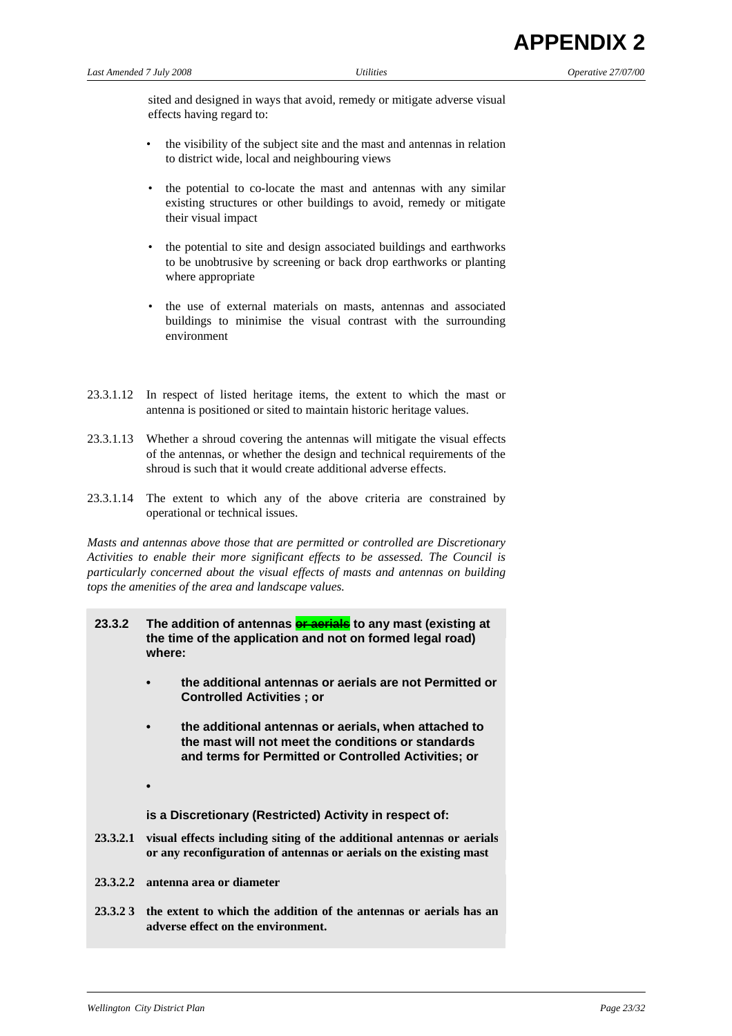sited and designed in ways that avoid, remedy or mitigate adverse visual effects having regard to:

- *•* the visibility of the subject site and the mast and antennas in relation to district wide, local and neighbouring views
- the potential to co-locate the mast and antennas with any similar existing structures or other buildings to avoid, remedy or mitigate their visual impact
- the potential to site and design associated buildings and earthworks to be unobtrusive by screening or back drop earthworks or planting where appropriate
- the use of external materials on masts, antennas and associated buildings to minimise the visual contrast with the surrounding environment
- 23.3.1.12 In respect of listed heritage items, the extent to which the mast or antenna is positioned or sited to maintain historic heritage values.
- 23.3.1.13 Whether a shroud covering the antennas will mitigate the visual effects of the antennas, or whether the design and technical requirements of the shroud is such that it would create additional adverse effects.
- 23.3.1.14 The extent to which any of the above criteria are constrained by operational or technical issues.

*Masts and antennas above those that are permitted or controlled are Discretionary Activities to enable their more significant effects to be assessed. The Council is particularly concerned about the visual effects of masts and antennas on building tops the amenities of the area and landscape values.* 

- 23.3.2 The addition of antennas **or aerials** to any mast (existing at **the time of the application and not on formed legal road) where:** 
	- **the additional antennas or aerials are not Permitted or Controlled Activities ; or**
	- **the additional antennas or aerials, when attached to the mast will not meet the conditions or standards and terms for Permitted or Controlled Activities; or**
	-

**is a Discretionary (Restricted) Activity in respect of:** 

- **23.3.2.1 visual effects including siting of the additional antennas or aerials or any reconfiguration of antennas or aerials on the existing mast**
- **23.3.2.2 antenna area or diameter**
- **23.3.2 3 the extent to which the addition of the antennas or aerials has an adverse effect on the environment.**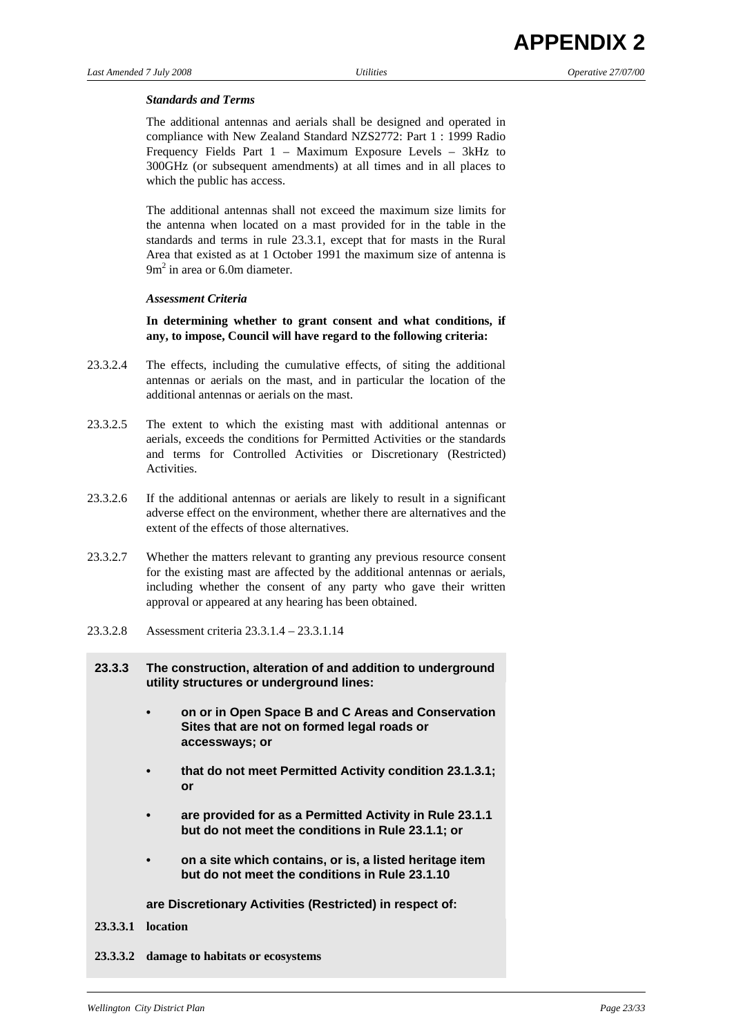#### *Standards and Terms*

 The additional antennas and aerials shall be designed and operated in compliance with New Zealand Standard NZS2772: Part 1 : 1999 Radio Frequency Fields Part 1 – Maximum Exposure Levels – 3kHz to 300GHz (or subsequent amendments) at all times and in all places to which the public has access.

 The additional antennas shall not exceed the maximum size limits for the antenna when located on a mast provided for in the table in the standards and terms in rule 23.3.1, except that for masts in the Rural Area that existed as at 1 October 1991 the maximum size of antenna is  $9m<sup>2</sup>$  in area or 6.0m diameter.

#### *Assessment Criteria*

 **In determining whether to grant consent and what conditions, if any, to impose, Council will have regard to the following criteria:** 

- 23.3.2.4 The effects, including the cumulative effects, of siting the additional antennas or aerials on the mast, and in particular the location of the additional antennas or aerials on the mast.
- 23.3.2.5 The extent to which the existing mast with additional antennas or aerials, exceeds the conditions for Permitted Activities or the standards and terms for Controlled Activities or Discretionary (Restricted) Activities.
- 23.3.2.6 If the additional antennas or aerials are likely to result in a significant adverse effect on the environment, whether there are alternatives and the extent of the effects of those alternatives.
- 23.3.2.7 Whether the matters relevant to granting any previous resource consent for the existing mast are affected by the additional antennas or aerials, including whether the consent of any party who gave their written approval or appeared at any hearing has been obtained.
- 23.3.2.8 Assessment criteria 23.3.1.4 23.3.1.14
- **23.3.3 The construction, alteration of and addition to underground utility structures or underground lines:** 
	- **on or in Open Space B and C Areas and Conservation Sites that are not on formed legal roads or accessways; or**
	- **that do not meet Permitted Activity condition 23.1.3.1; or**
	- **are provided for as a Permitted Activity in Rule 23.1.1 but do not meet the conditions in Rule 23.1.1; or**
	- **on a site which contains, or is, a listed heritage item but do not meet the conditions in Rule 23.1.10**

**are Discretionary Activities (Restricted) in respect of:** 

#### **23.3.3.1 location**

**23.3.3.2 damage to habitats or ecosystems**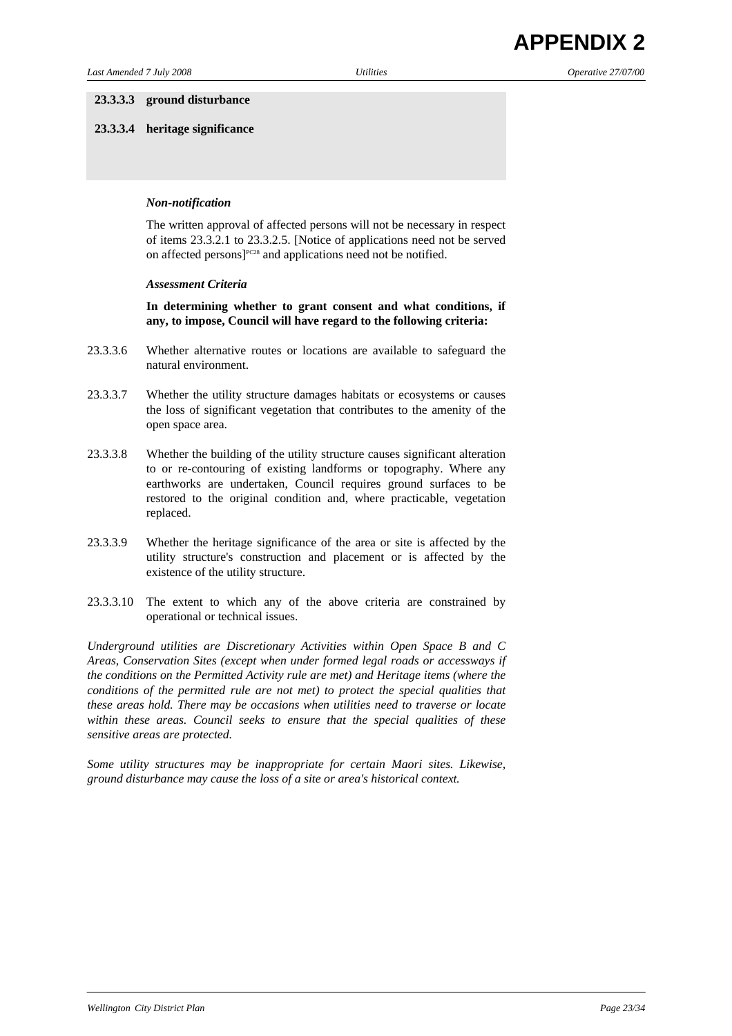#### **23.3.3.3 ground disturbance**

**23.3.3.4 heritage significance**

#### *Non-notification*

 The written approval of affected persons will not be necessary in respect of items 23.3.2.1 to 23.3.2.5. [Notice of applications need not be served on affected persons]<sup>PC28</sup> and applications need not be notified.

#### *Assessment Criteria*

 **In determining whether to grant consent and what conditions, if any, to impose, Council will have regard to the following criteria:** 

- 23.3.3.6 Whether alternative routes or locations are available to safeguard the natural environment.
- 23.3.3.7 Whether the utility structure damages habitats or ecosystems or causes the loss of significant vegetation that contributes to the amenity of the open space area.
- 23.3.3.8 Whether the building of the utility structure causes significant alteration to or re-contouring of existing landforms or topography. Where any earthworks are undertaken, Council requires ground surfaces to be restored to the original condition and, where practicable, vegetation replaced.
- 23.3.3.9 Whether the heritage significance of the area or site is affected by the utility structure's construction and placement or is affected by the existence of the utility structure.
- 23.3.3.10 The extent to which any of the above criteria are constrained by operational or technical issues.

*Underground utilities are Discretionary Activities within Open Space B and C Areas, Conservation Sites (except when under formed legal roads or accessways if the conditions on the Permitted Activity rule are met) and Heritage items (where the conditions of the permitted rule are not met) to protect the special qualities that these areas hold. There may be occasions when utilities need to traverse or locate within these areas. Council seeks to ensure that the special qualities of these sensitive areas are protected.* 

*Some utility structures may be inappropriate for certain Maori sites. Likewise, ground disturbance may cause the loss of a site or area's historical context.*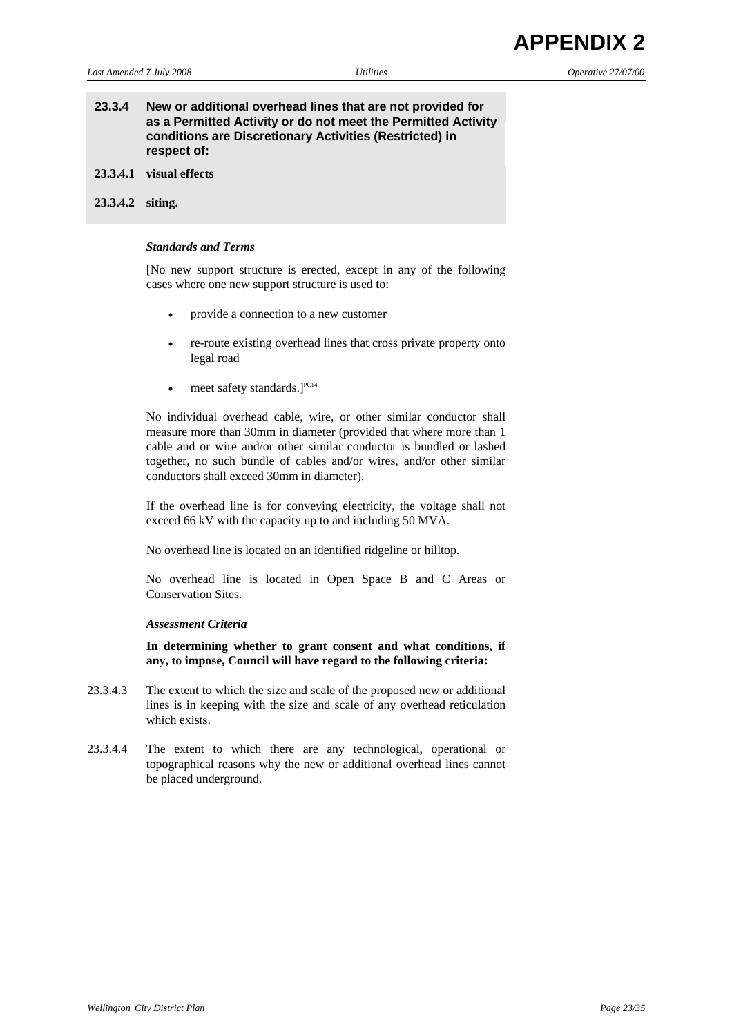## **23.3.4 New or additional overhead lines that are not provided for as a Permitted Activity or do not meet the Permitted Activity conditions are Discretionary Activities (Restricted) in respect of:**

- **23.3.4.1 visual effects**
- **23.3.4.2 siting.**

#### *Standards and Terms*

 [No new support structure is erected, except in any of the following cases where one new support structure is used to:

- provide a connection to a new customer
- re-route existing overhead lines that cross private property onto legal road
- meet safety standards. $]^{PC14}$

 No individual overhead cable, wire, or other similar conductor shall measure more than 30mm in diameter (provided that where more than 1 cable and or wire and/or other similar conductor is bundled or lashed together, no such bundle of cables and/or wires, and/or other similar conductors shall exceed 30mm in diameter).

 If the overhead line is for conveying electricity, the voltage shall not exceed 66 kV with the capacity up to and including 50 MVA.

No overhead line is located on an identified ridgeline or hilltop.

 No overhead line is located in Open Space B and C Areas or Conservation Sites.

#### *Assessment Criteria*

 **In determining whether to grant consent and what conditions, if any, to impose, Council will have regard to the following criteria:** 

- 23.3.4.3 The extent to which the size and scale of the proposed new or additional lines is in keeping with the size and scale of any overhead reticulation which exists.
- 23.3.4.4 The extent to which there are any technological, operational or topographical reasons why the new or additional overhead lines cannot be placed underground.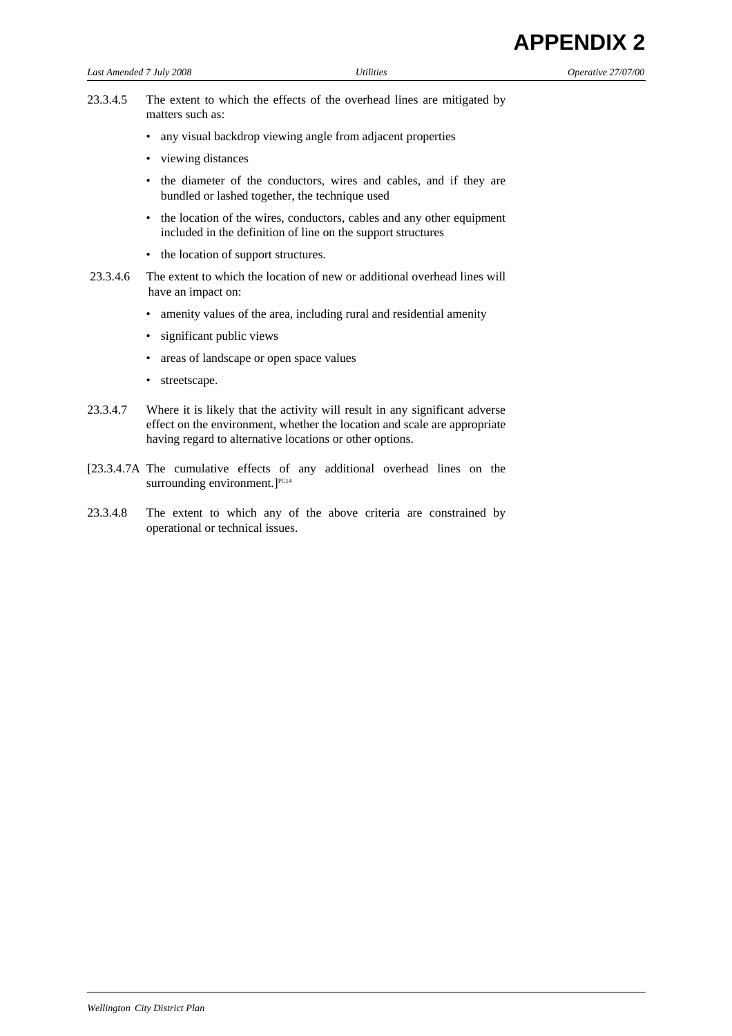| <b>APPENDIX 2</b> |  |
|-------------------|--|
|-------------------|--|

- 
- 23.3.4.5 The extent to which the effects of the overhead lines are mitigated by matters such as:
	- any visual backdrop viewing angle from adjacent properties
	- viewing distances
	- the diameter of the conductors, wires and cables, and if they are bundled or lashed together, the technique used
	- the location of the wires, conductors, cables and any other equipment included in the definition of line on the support structures
	- the location of support structures.
- 23.3.4.6 The extent to which the location of new or additional overhead lines will have an impact on:
	- amenity values of the area, including rural and residential amenity
	- significant public views
	- areas of landscape or open space values
	- streetscape.
- 23.3.4.7 Where it is likely that the activity will result in any significant adverse effect on the environment, whether the location and scale are appropriate having regard to alternative locations or other options.
- [23.3.4.7A The cumulative effects of any additional overhead lines on the surrounding environment. $]^{PC14}$
- 23.3.4.8 The extent to which any of the above criteria are constrained by operational or technical issues.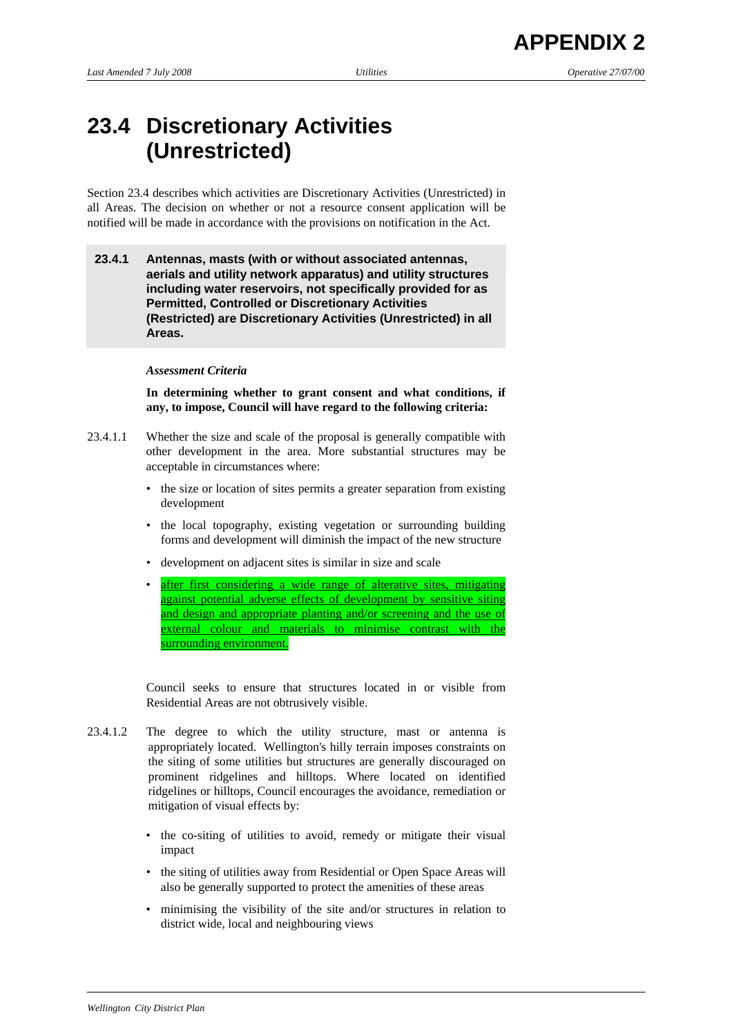# **23.4 Discretionary Activities (Unrestricted)**

Section 23.4 describes which activities are Discretionary Activities (Unrestricted) in all Areas. The decision on whether or not a resource consent application will be notified will be made in accordance with the provisions on notification in the Act.

# **23.4.1 Antennas, masts (with or without associated antennas, aerials and utility network apparatus) and utility structures including water reservoirs, not specifically provided for as Permitted, Controlled or Discretionary Activities (Restricted) are Discretionary Activities (Unrestricted) in all Areas.**

## *Assessment Criteria*

 **In determining whether to grant consent and what conditions, if any, to impose, Council will have regard to the following criteria:** 

- 23.4.1.1 Whether the size and scale of the proposal is generally compatible with other development in the area. More substantial structures may be acceptable in circumstances where:
	- the size or location of sites permits a greater separation from existing development
	- the local topography, existing vegetation or surrounding building forms and development will diminish the impact of the new structure
	- development on adjacent sites is similar in size and scale
	- after first considering a wide range of alterative sites, mitigating against potential adverse effects of development by sensitive siting and design and appropriate planting and/or screening and the use of external colour and materials to minimise contrast with the surrounding environment.

 Council seeks to ensure that structures located in or visible from Residential Areas are not obtrusively visible.

- 23.4.1.2 The degree to which the utility structure, mast or antenna is appropriately located. Wellington's hilly terrain imposes constraints on the siting of some utilities but structures are generally discouraged on prominent ridgelines and hilltops. Where located on identified ridgelines or hilltops, Council encourages the avoidance, remediation or mitigation of visual effects by:
	- the co-siting of utilities to avoid, remedy or mitigate their visual impact
	- the siting of utilities away from Residential or Open Space Areas will also be generally supported to protect the amenities of these areas
	- minimising the visibility of the site and/or structures in relation to district wide, local and neighbouring views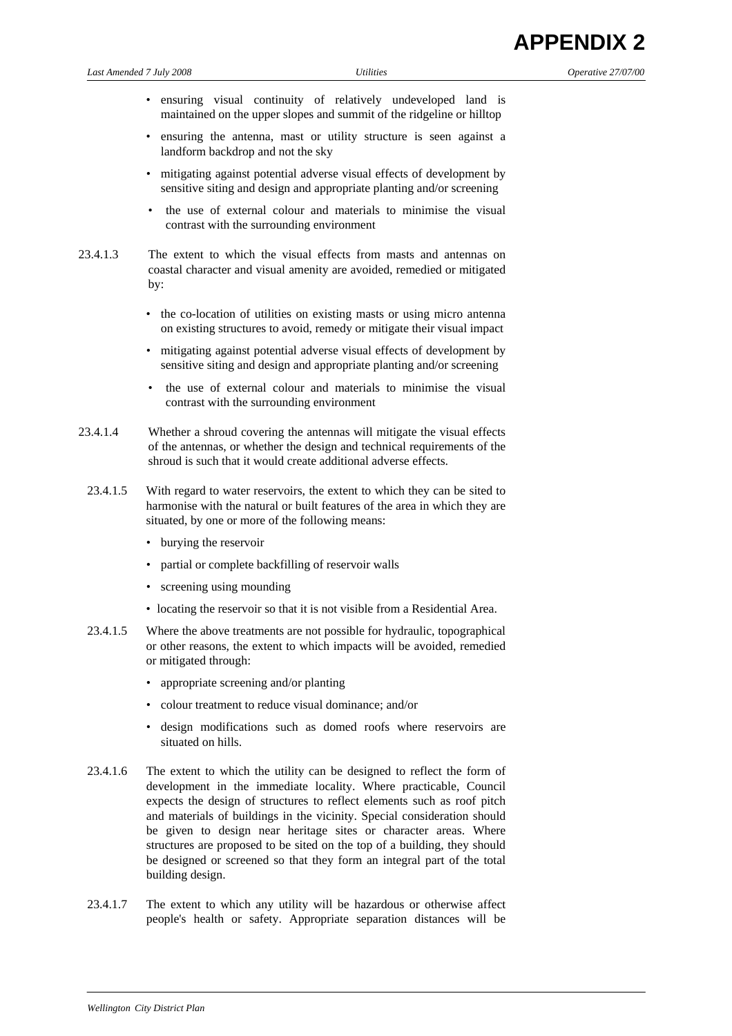- ensuring visual continuity of relatively undeveloped land is maintained on the upper slopes and summit of the ridgeline or hilltop
- ensuring the antenna, mast or utility structure is seen against a landform backdrop and not the sky
- mitigating against potential adverse visual effects of development by sensitive siting and design and appropriate planting and/or screening
- the use of external colour and materials to minimise the visual contrast with the surrounding environment
- 23.4.1.3 The extent to which the visual effects from masts and antennas on coastal character and visual amenity are avoided, remedied or mitigated by:
	- the co-location of utilities on existing masts or using micro antenna on existing structures to avoid, remedy or mitigate their visual impact
	- mitigating against potential adverse visual effects of development by sensitive siting and design and appropriate planting and/or screening
	- the use of external colour and materials to minimise the visual contrast with the surrounding environment
- 23.4.1.4 Whether a shroud covering the antennas will mitigate the visual effects of the antennas, or whether the design and technical requirements of the shroud is such that it would create additional adverse effects.
- 23.4.1.5 With regard to water reservoirs, the extent to which they can be sited to harmonise with the natural or built features of the area in which they are situated, by one or more of the following means:
	- burying the reservoir
	- partial or complete backfilling of reservoir walls
	- screening using mounding
	- locating the reservoir so that it is not visible from a Residential Area.
- 23.4.1.5 Where the above treatments are not possible for hydraulic, topographical or other reasons, the extent to which impacts will be avoided, remedied or mitigated through:
	- appropriate screening and/or planting
	- colour treatment to reduce visual dominance; and/or
	- design modifications such as domed roofs where reservoirs are situated on hills.
- 23.4.1.6 The extent to which the utility can be designed to reflect the form of development in the immediate locality. Where practicable, Council expects the design of structures to reflect elements such as roof pitch and materials of buildings in the vicinity. Special consideration should be given to design near heritage sites or character areas. Where structures are proposed to be sited on the top of a building, they should be designed or screened so that they form an integral part of the total building design.
- 23.4.1.7 The extent to which any utility will be hazardous or otherwise affect people's health or safety. Appropriate separation distances will be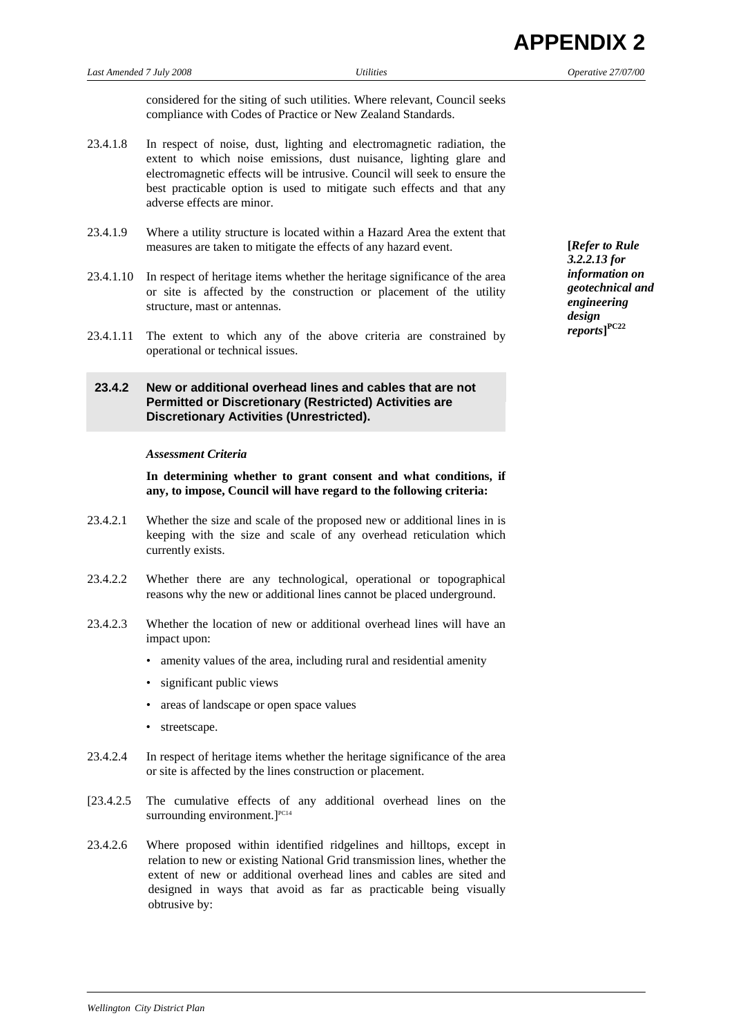**PPFNDIX 2** 

considered for the siting of such utilities. Where relevant, Council seeks compliance with Codes of Practice or New Zealand Standards.

- 23.4.1.8 In respect of noise, dust, lighting and electromagnetic radiation, the extent to which noise emissions, dust nuisance, lighting glare and electromagnetic effects will be intrusive. Council will seek to ensure the best practicable option is used to mitigate such effects and that any adverse effects are minor.
- 23.4.1.9 Where a utility structure is located within a Hazard Area the extent that measures are taken to mitigate the effects of any hazard event.
- 23.4.1.10 In respect of heritage items whether the heritage significance of the area or site is affected by the construction or placement of the utility structure, mast or antennas.
- 23.4.1.11 The extent to which any of the above criteria are constrained by operational or technical issues.

# **23.4.2 New or additional overhead lines and cables that are not Permitted or Discretionary (Restricted) Activities are Discretionary Activities (Unrestricted).**

#### *Assessment Criteria*

 **In determining whether to grant consent and what conditions, if any, to impose, Council will have regard to the following criteria:** 

- 23.4.2.1 Whether the size and scale of the proposed new or additional lines in is keeping with the size and scale of any overhead reticulation which currently exists.
- 23.4.2.2 Whether there are any technological, operational or topographical reasons why the new or additional lines cannot be placed underground.
- 23.4.2.3 Whether the location of new or additional overhead lines will have an impact upon:
	- amenity values of the area, including rural and residential amenity
	- significant public views
	- areas of landscape or open space values
	- streetscape.
- 23.4.2.4 In respect of heritage items whether the heritage significance of the area or site is affected by the lines construction or placement.
- [23.4.2.5 The cumulative effects of any additional overhead lines on the surrounding environment.]<sup>PC14</sup>
- 23.4.2.6 Where proposed within identified ridgelines and hilltops, except in relation to new or existing National Grid transmission lines, whether the extent of new or additional overhead lines and cables are sited and designed in ways that avoid as far as practicable being visually obtrusive by:

**[***Refer to Rule 3.2.2.13 for information on geotechnical and engineering design reports***] PC22**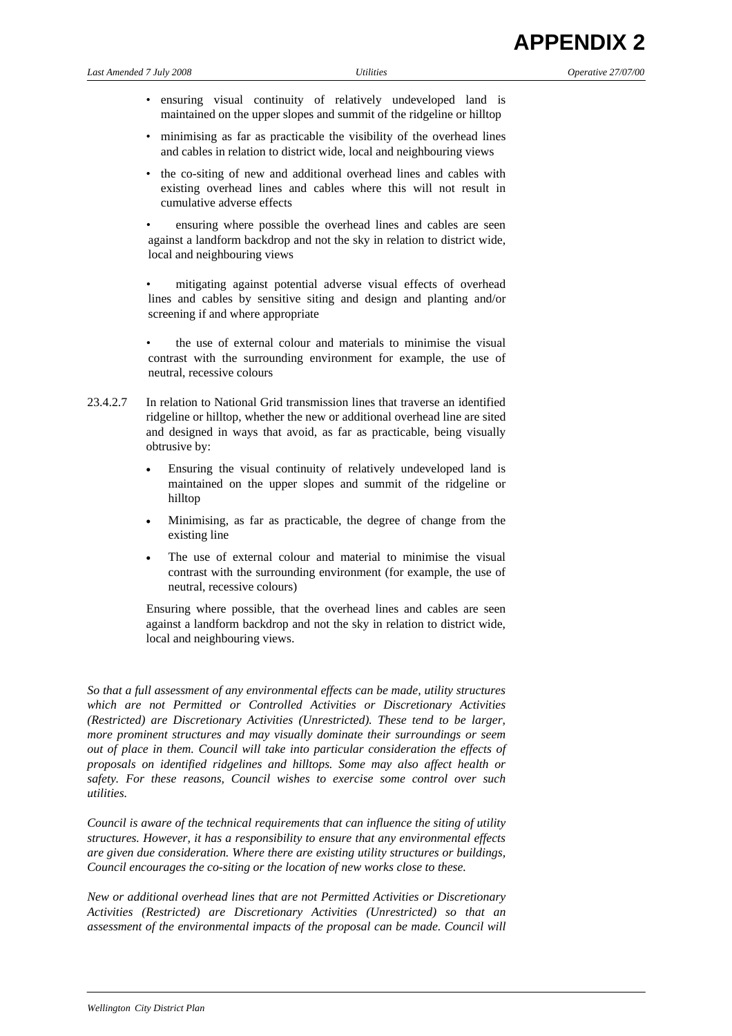- ensuring visual continuity of relatively undeveloped land is maintained on the upper slopes and summit of the ridgeline or hilltop
- minimising as far as practicable the visibility of the overhead lines and cables in relation to district wide, local and neighbouring views
- the co-siting of new and additional overhead lines and cables with existing overhead lines and cables where this will not result in cumulative adverse effects

 • ensuring where possible the overhead lines and cables are seen against a landform backdrop and not the sky in relation to district wide, local and neighbouring views

 • mitigating against potential adverse visual effects of overhead lines and cables by sensitive siting and design and planting and/or screening if and where appropriate

- the use of external colour and materials to minimise the visual contrast with the surrounding environment for example, the use of neutral, recessive colours
- 23.4.2.7 In relation to National Grid transmission lines that traverse an identified ridgeline or hilltop, whether the new or additional overhead line are sited and designed in ways that avoid, as far as practicable, being visually obtrusive by:
	- Ensuring the visual continuity of relatively undeveloped land is maintained on the upper slopes and summit of the ridgeline or hilltop
	- Minimising, as far as practicable, the degree of change from the existing line
	- The use of external colour and material to minimise the visual contrast with the surrounding environment (for example, the use of neutral, recessive colours)

 Ensuring where possible, that the overhead lines and cables are seen against a landform backdrop and not the sky in relation to district wide, local and neighbouring views.

*So that a full assessment of any environmental effects can be made, utility structures which are not Permitted or Controlled Activities or Discretionary Activities (Restricted) are Discretionary Activities (Unrestricted). These tend to be larger, more prominent structures and may visually dominate their surroundings or seem out of place in them. Council will take into particular consideration the effects of proposals on identified ridgelines and hilltops. Some may also affect health or safety. For these reasons, Council wishes to exercise some control over such utilities.* 

*Council is aware of the technical requirements that can influence the siting of utility structures. However, it has a responsibility to ensure that any environmental effects are given due consideration. Where there are existing utility structures or buildings, Council encourages the co-siting or the location of new works close to these.* 

*New or additional overhead lines that are not Permitted Activities or Discretionary Activities (Restricted) are Discretionary Activities (Unrestricted) so that an assessment of the environmental impacts of the proposal can be made. Council will*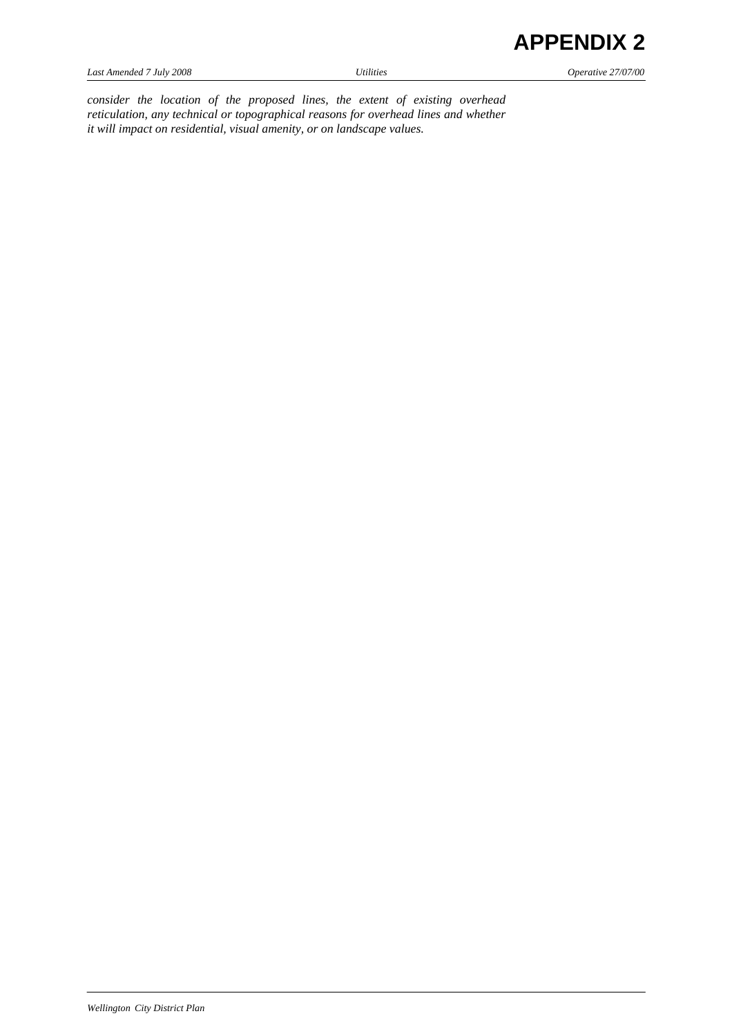*Last Amended 7 July 2008 Utilities Operative 27/07/00* 

*consider the location of the proposed lines, the extent of existing overhead reticulation, any technical or topographical reasons for overhead lines and whether it will impact on residential, visual amenity, or on landscape values.*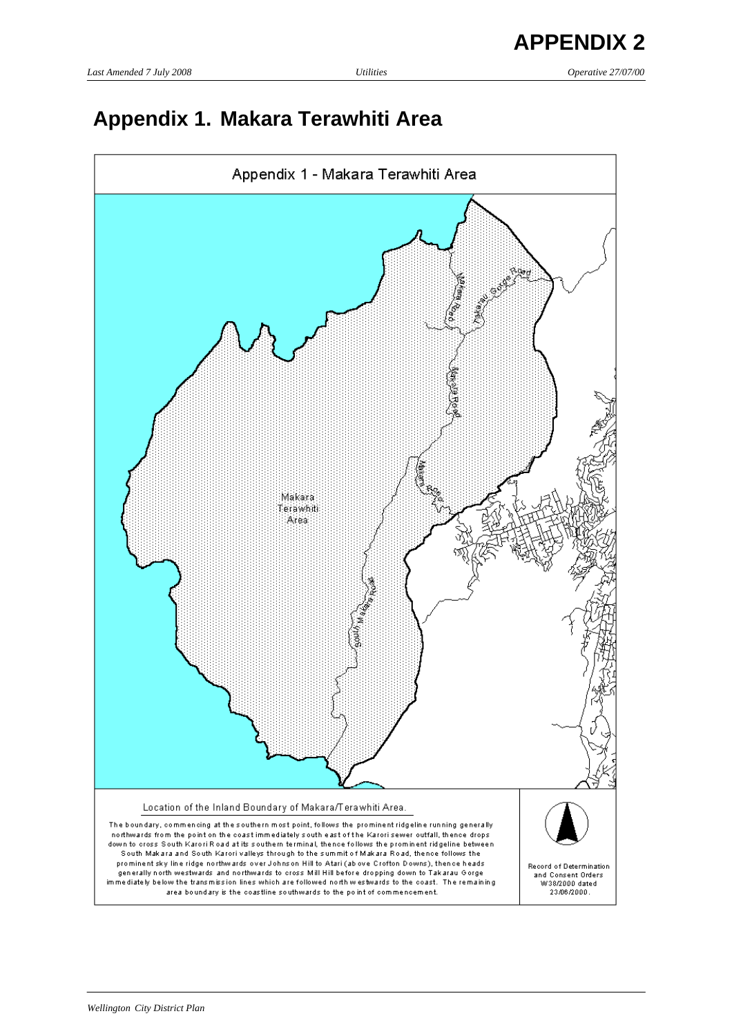# **Appendix 1. Makara Terawhiti Area**

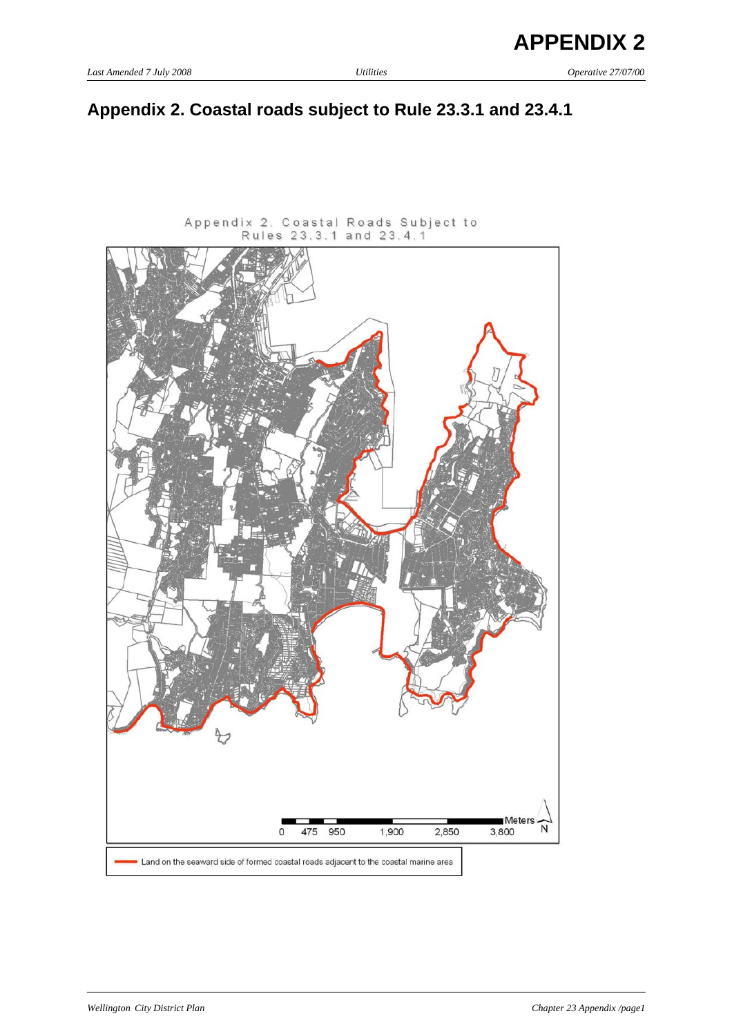# **Appendix 2. Coastal roads subject to Rule 23.3.1 and 23.4.1**

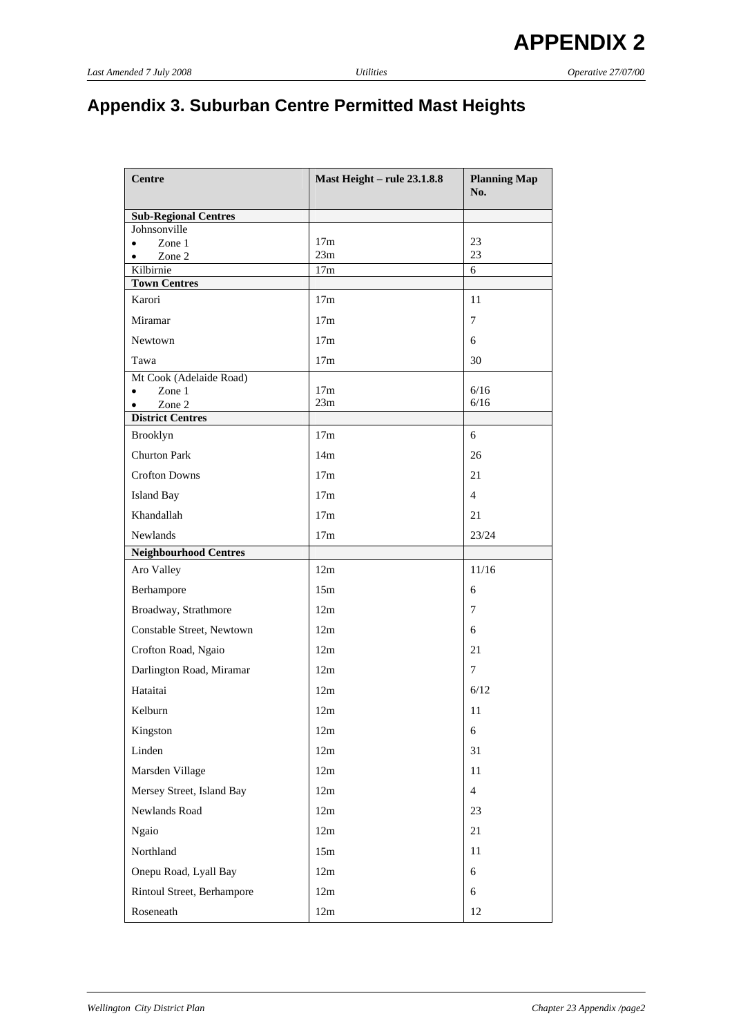# **Appendix 3. Suburban Centre Permitted Mast Heights**

| <b>Centre</b>                               | <b>Mast Height - rule 23.1.8.8</b> | <b>Planning Map</b> |
|---------------------------------------------|------------------------------------|---------------------|
|                                             |                                    | No.                 |
| <b>Sub-Regional Centres</b><br>Johnsonville |                                    |                     |
| Zone 1<br>$\bullet$                         | 17 <sub>m</sub>                    | 23                  |
| Zone 2<br>٠                                 | 23m                                | 23                  |
| Kilbirnie<br><b>Town Centres</b>            | 17m                                | 6                   |
| Karori                                      | 17m                                | 11                  |
| Miramar                                     | 17 <sub>m</sub>                    | 7                   |
| Newtown                                     | 17m                                | 6                   |
| Tawa                                        | 17m                                | 30                  |
| Mt Cook (Adelaide Road)                     |                                    |                     |
| Zone 1<br>$\bullet$<br>Zone 2<br>$\bullet$  | 17 <sub>m</sub><br>23m             | 6/16<br>6/16        |
| <b>District Centres</b>                     |                                    |                     |
| Brooklyn                                    | 17m                                | 6                   |
| <b>Churton Park</b>                         | 14m                                | 26                  |
| <b>Crofton Downs</b>                        | 17 <sub>m</sub>                    | 21                  |
| <b>Island Bay</b>                           | 17m                                | $\overline{4}$      |
| Khandallah                                  | 17m                                | 21                  |
| Newlands                                    | 17m                                | 23/24               |
| <b>Neighbourhood Centres</b>                |                                    |                     |
| Aro Valley                                  | 12m                                | 11/16               |
| Berhampore                                  | 15m                                | 6                   |
| Broadway, Strathmore                        | 12m                                | 7                   |
| Constable Street, Newtown                   | 12m                                | 6                   |
| Crofton Road, Ngaio                         | 12m                                | 21                  |
| Darlington Road, Miramar                    | 12m                                | $\overline{7}$      |
| Hataitai                                    | 12m                                | 6/12                |
| Kelburn                                     | 12m                                | 11                  |
| Kingston                                    | 12m                                | 6                   |
| Linden                                      | 12m                                | 31                  |
| Marsden Village                             | 12m                                | 11                  |
| Mersey Street, Island Bay                   | 12m                                | $\overline{4}$      |
| Newlands Road                               | 12m                                | 23                  |
| <b>Ngaio</b>                                | 12m                                | 21                  |
| Northland                                   | 15m                                | 11                  |
| Onepu Road, Lyall Bay                       | 12m                                | 6                   |
| Rintoul Street, Berhampore                  | 12m                                | 6                   |
| Roseneath                                   | 12m                                | 12                  |